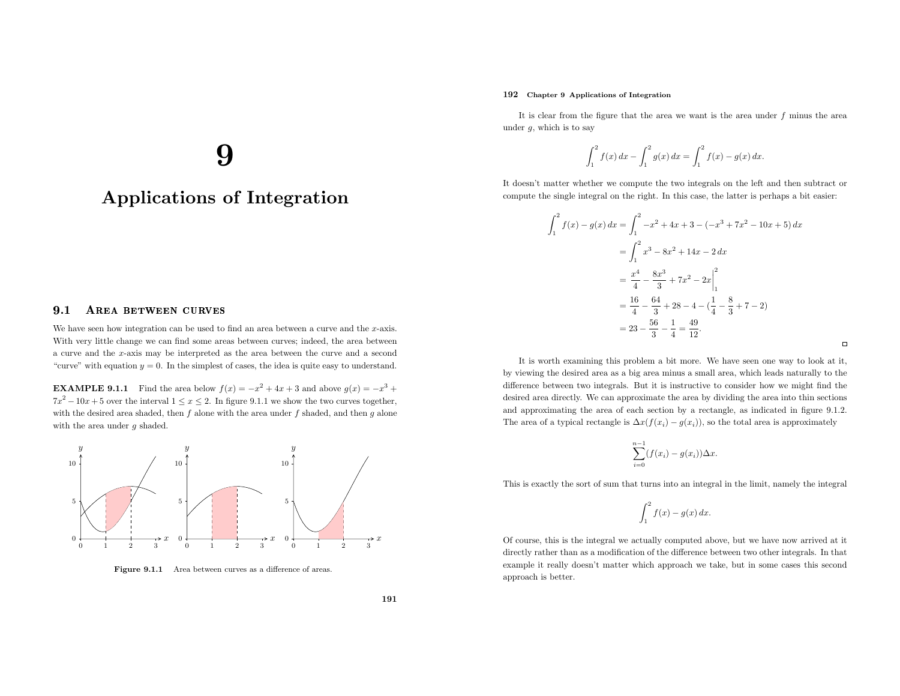### 192 Chapter <sup>9</sup> Applications of Integration

It is clear from the figure that the area we want is the area under  $f$  minus the area under  $g$ , which is to say

$$
\int_{1}^{2} f(x) dx - \int_{1}^{2} g(x) dx = \int_{1}^{2} f(x) - g(x) dx.
$$

It doesn't matter whether we compute the two integrals on the left and then subtract or compute the single integral on the right. In this case, the latter is perhaps <sup>a</sup> bit easier:

$$
\int_{1}^{2} f(x) - g(x) dx = \int_{1}^{2} -x^{2} + 4x + 3 - (-x^{3} + 7x^{2} - 10x + 5) dx
$$
  
= 
$$
\int_{1}^{2} x^{3} - 8x^{2} + 14x - 2 dx
$$
  
= 
$$
\frac{x^{4}}{4} - \frac{8x^{3}}{3} + 7x^{2} - 2x \Big|_{1}^{2}
$$
  
= 
$$
\frac{16}{4} - \frac{64}{3} + 28 - 4 - (\frac{1}{4} - \frac{8}{3} + 7 - 2)
$$
  
= 
$$
23 - \frac{56}{3} - \frac{1}{4} = \frac{49}{12}.
$$

It is worth examining this problem <sup>a</sup> bit more. We have seen one way to look at it, by viewing the desired area as <sup>a</sup> big area minus <sup>a</sup> small area, which leads naturally to the difference between two integrals. But it is instructive to consider how we might find the desired area directly. We can approximate the area by dividing the area into thin sections and approximating the area of each section by <sup>a</sup> rectangle, as indicated in figure 9.1.2. The area of a typical rectangle is  $\Delta x(f(x_i) - g(x_i))$ , so the total area is approximately

$$
\sum_{i=0}^{n-1} (f(x_i) - g(x_i)) \Delta x.
$$

This is exactly the sort of sum that turns into an integral in the limit, namely the integral

$$
\int_1^2 f(x) - g(x) \, dx.
$$

Of course, this is the integral we actually computed above, but we have now arrived at it directly rather than as <sup>a</sup> modification of the difference between two other integrals. In that example it really doesn't matter which approac<sup>h</sup> we take, but in some cases this secondapproac<sup>h</sup> is better.

# <u>y</u>

# Applications of Integration

#### 9.11 AREA BETWEEN CURVES

We have seen how integration can be used to find an area between a curve and the  $x$ -axis. With very little change we can find some areas between curves; indeed, the area between <sup>a</sup> curve and the <sup>x</sup>-axis may be interpreted as the area between the curve and <sup>a</sup> second"curve" with equation  $y = 0$ . In the simplest of cases, the idea is quite easy to understand.

**EXAMPLE 9.1.1** Find the area below  $f(x) = -x^2 + 4x + 3$  and above  $g(x) = -x^3 +$  $7x^2 - 10x + 5$  over the interval  $1 \le x \le 2$ . In figure 9.1.1 we show the two curves together, with the desired area shaded, then  $f$  alone with the area under  $f$  shaded, and then  $g$  alone with the area under g shaded.



Figure 9.1.1 Area between curves as <sup>a</sup> difference of areas.

 $\Box$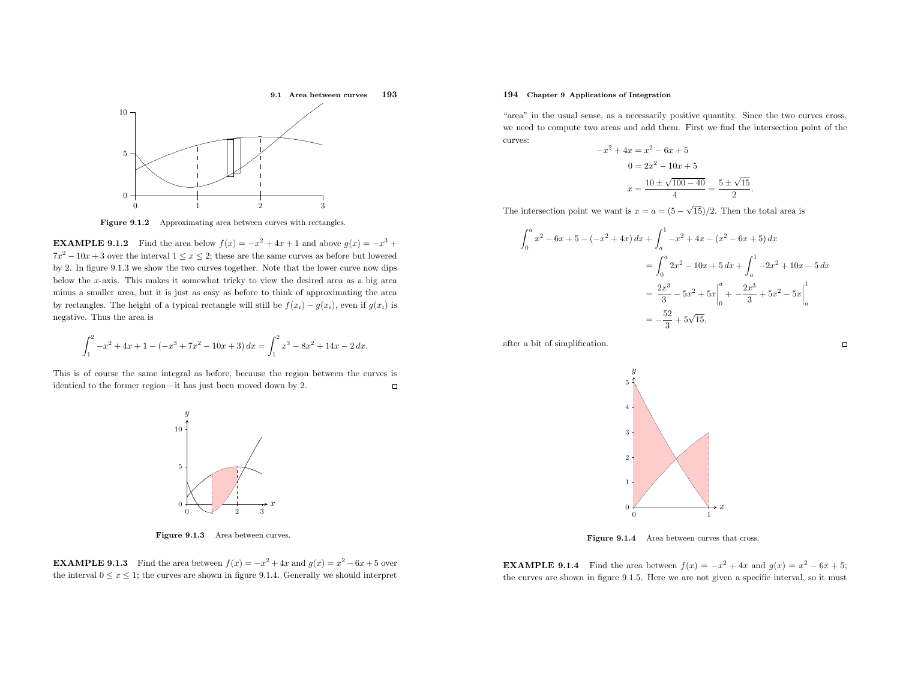

Figure 9.1.2 Approximating area between curves with rectangles.

**EXAMPLE 9.1.2** Find the area below  $f(x) = -x^2 + 4x + 1$  and above  $g(x) = -x^3 + x^2 + 1$  $7x^2 - 10x + 3$  over the interval  $1 \le x \le 2$ ; these are the same curves as before but lowered by 2. In figure 9.1.3 we show the two curves together. Note that the lower curve now dips below the <sup>x</sup>-axis. This makes it somewhat tricky to view the desired area as <sup>a</sup> big area minus <sup>a</sup> smaller area, but it is just as easy as before to think of approximating the area by rectangles. The height of a typical rectangle will still be  $f(x_i) - g(x_i)$ , even if  $g(x_i)$  is negative. Thus the area is

$$
\int_{1}^{2} -x^{2} + 4x + 1 - (-x^{3} + 7x^{2} - 10x + 3) dx = \int_{1}^{2} x^{3} - 8x^{2} + 14x - 2 dx.
$$

This is of course the same integral as before, because the region between the curves is  $\Box$ identical to the former region—it has just been moved down by 2.



Figure 9.1.3 Area between curves.

**EXAMPLE 9.1.3** Find the area between  $f(x) = -x^2 + 4x$  and  $g(x) = x^2 - 6x + 5$  over the interval  $0 \le x \le 1$ ; the curves are shown in figure 9.1.4. Generally we should interpret

# 194 Chapter <sup>9</sup> Applications of Integration

"area" in the usual sense, as <sup>a</sup> necessarily positive quantity. Since the two curves cross, we need to compute two areas and add them. First we find the intersection point of the curves:

$$
-x^{2} + 4x = x^{2} - 6x + 5
$$

$$
0 = 2x^{2} - 10x + 5
$$

$$
x = \frac{10 \pm \sqrt{100 - 40}}{4} = \frac{5 \pm \sqrt{15}}{2}
$$

The intersection point we want is  $x = a = (5 - \sqrt{15})/2$ . Then the total area is

$$
\int_0^a x^2 - 6x + 5 - (-x^2 + 4x) dx + \int_a^1 -x^2 + 4x - (x^2 - 6x + 5) dx
$$
  
= 
$$
\int_0^a 2x^2 - 10x + 5 dx + \int_a^1 -2x^2 + 10x - 5 dx
$$
  
= 
$$
\frac{2x^3}{3} - 5x^2 + 5x \Big|_0^a + \frac{2x^3}{3} + 5x^2 - 5x \Big|_a^1
$$
  
= 
$$
-\frac{52}{3} + 5\sqrt{15},
$$

after <sup>a</sup> bit of simplification.



Figure 9.1.4 Area between curves that cross.

**EXAMPLE 9.1.4** Find the area between  $f(x) = -x^2 + 4x$  and  $g(x) = x^2 - 6x + 5$ ; the curves are shown in figure 9.1.5. Here we are not <sup>g</sup>iven <sup>a</sup> specific interval, so it must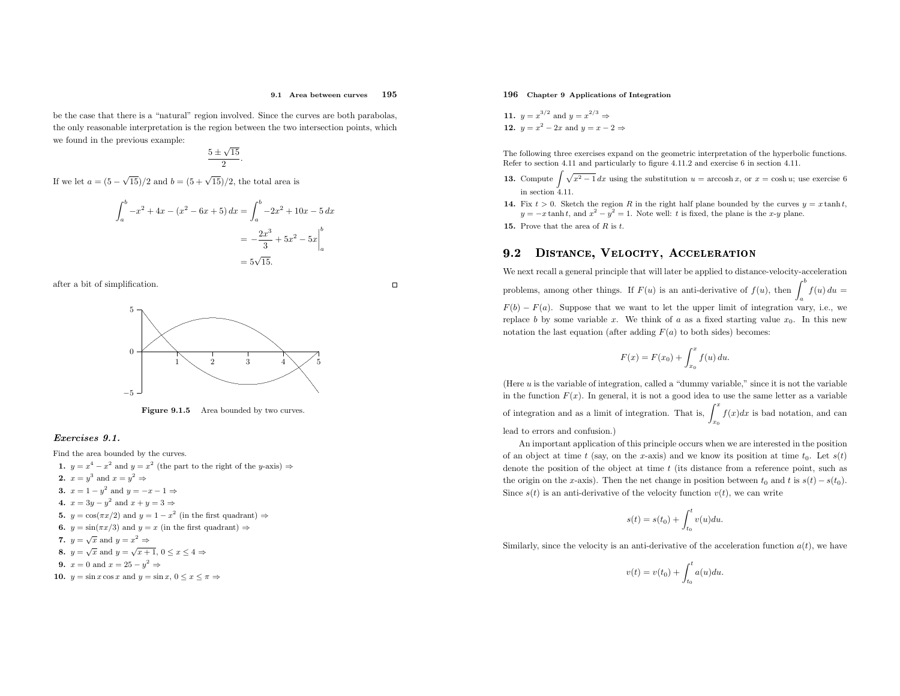#### 9.1 Area between curves <sup>195</sup>

be the case that there is <sup>a</sup> "natural" region involved. Since the curves are both parabolas, the only reasonable interpretation is the region between the two intersection points, whichwe found in the previous example:

 $\frac{5 \pm \sqrt{15}}{2}$ .

If we let  $a = (5 - \sqrt{15})/2$  and  $b = (5 + \sqrt{15})/2$ , the total area is

$$
\int_{a}^{b} -x^{2} + 4x - (x^{2} - 6x + 5) dx = \int_{a}^{b} -2x^{2} + 10x - 5 dx
$$

$$
= -\frac{2x^{3}}{3} + 5x^{2} - 5x \Big|_{a}^{b}
$$

$$
= 5\sqrt{15}.
$$



 $\Box$ 



**Figure 9.1.5** Area bounded by two curves.

### Exercises 9.1.

Find the area bounded by the curves. 1.  $y = x^4 - x^2$  and  $y = x^2$  (the part to the right of the y-axis)  $\Rightarrow$ 2.  $x = y^3$  and  $x = y^2 \Rightarrow$ 3.  $x = 1 - y^2$  and  $y = -x - 1 \Rightarrow$ 4.  $x = 3y - y^2$  and  $x + y = 3 \Rightarrow$ **5.**  $y = \cos(\pi x/2)$  and  $y = 1 - x^2$  (in the first quadrant)  $\Rightarrow$ **6.**  $y = \sin(\pi x/3)$  and  $y = x$  (in the first quadrant)  $\Rightarrow$ 7.  $y = \sqrt{x}$  and  $y = x^2 \Rightarrow$ 8.  $y = \sqrt{x}$  and  $y = \sqrt{x+1}$ ,  $0 \le x \le 4 \Rightarrow$ 9.  $x = 0$  and  $x = 25 - y^2 \Rightarrow$ **10.**  $y = \sin x \cos x$  and  $y = \sin x$ ,  $0 \le x \le \pi \Rightarrow$ 

# 196 Chapter <sup>9</sup> Applications of Integration

11. 
$$
y = x^{3/2}
$$
 and  $y = x^{2/3} \Rightarrow$   
12.  $y = x^2 - 2x$  and  $y = x - 2 \Rightarrow$ 

The following three exercises expand on the geometric interpretation of the hyperbolic functions. Refer to section 4.11 and particularly to figure 4.11.2 and exercise <sup>6</sup> in section 4.11.

- **13.** Compute  $\int \sqrt{x^2 1} \, dx$  using the substitution  $u = \operatorname{arccosh} x$ , or  $x = \cosh u$ ; use exercise 6 in section  $4.11$ .
- 14. Fix  $t > 0$ . Sketch the region R in the right half plane bounded by the curves  $y = x \tanh t$ ,  $y = -x \tanh t$ , and  $x^2 - y^2 = 1$ . Note well: t is fixed, the plane is the x-y plane.
- **15.** Prove that the area of  $R$  is  $t$ .

#### 9.2DISTANCE, VELOCITY, ACCELERATION

We next recall <sup>a</sup> genera<sup>l</sup> principle that will later be applied to distance-velocity-acceleration problems, among other things. If  $F(u)$  is an anti-derivative of  $f(u)$ , then  $\int_a^b f(u) du =$  $F(b) - F(a)$ . Suppose that we want to let the upper limit of integration vary, i.e., we replace b by some variable x. We think of a as a fixed starting value  $x_0$ . In this new notation the last equation (after adding  $F(a)$  to both sides) becomes:

$$
F(x) = F(x_0) + \int_{x_0}^x f(u) \, du.
$$

(Here  $u$  is the variable of integration, called a "dummy variable," since it is not the variable in the function  $F(x)$ . In general, it is not a good idea to use the same letter as a variable of integration and as a limit of integration. That is,  $\int_{x_0}^x f(x)dx$  is bad notation, and can lead to errors and confusion.)

An important application of this principle occurs when we are interested in the positionof an object at time t (say, on the x-axis) and we know its position at time  $t_0$ . Let  $s(t)$ denote the position of the object at time  $t$  (its distance from a reference point, such as the origin on the x-axis). Then the net change in position between  $t_0$  and t is  $s(t) - s(t_0)$ . Since  $s(t)$  is an anti-derivative of the velocity function  $v(t)$ , we can write

$$
s(t) = s(t_0) + \int_{t_0}^t v(u) du.
$$

Similarly, since the velocity is an anti-derivative of the acceleration function  $a(t)$ , we have

$$
v(t) = v(t_0) + \int_{t_0}^t a(u) du.
$$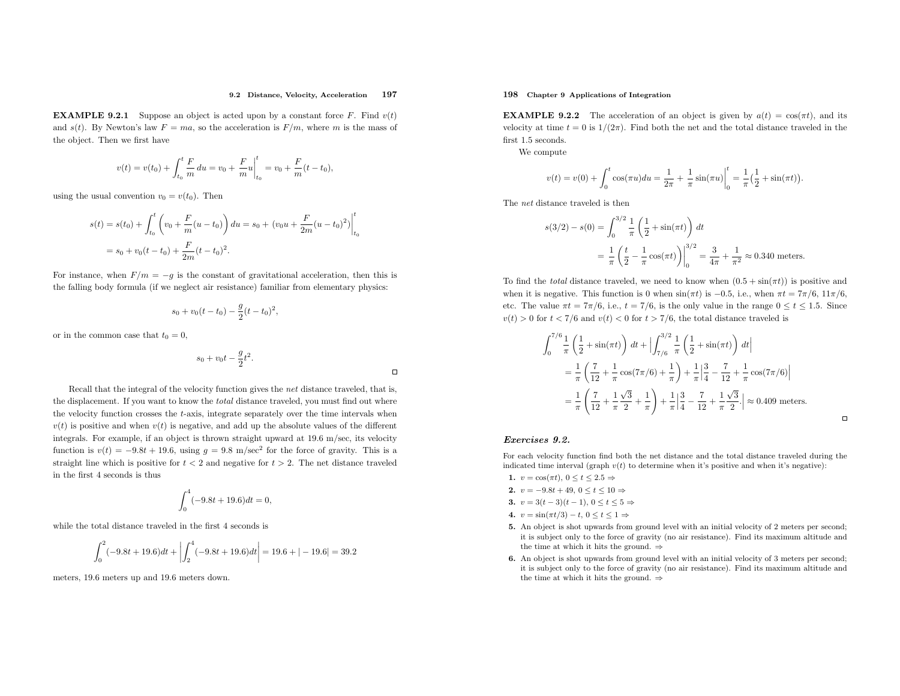#### 9.2 Distance, Velocity, Acceleration<sup>197</sup>

**EXAMPLE 9.2.1** Suppose an object is acted upon by a constant force F. Find  $v(t)$ and  $s(t)$ . By Newton's law  $F= ma$ , so the acceleration is  $F/m$ , where m is the mass of the object. Then we first have

$$
v(t) = v(t_0) + \int_{t_0}^t \frac{F}{m} du = v_0 + \frac{F}{m} u \Big|_{t_0}^t = v_0 + \frac{F}{m} (t - t_0),
$$

using the usual convention  $v_0 = v(t_0)$ . Then

$$
s(t) = s(t_0) + \int_{t_0}^t \left( v_0 + \frac{F}{m}(u - t_0) \right) du = s_0 + (v_0 u + \frac{F}{2m}(u - t_0)^2) \Big|_{t_0}^t
$$
  
=  $s_0 + v_0(t - t_0) + \frac{F}{2m}(t - t_0)^2$ .

For instance, when  $F/m = -g$  is the constant of gravitational acceleration, then this is the falling body formula (if we neglect air resistance) familiar from elementary <sup>p</sup>hysics:

$$
s_0 + v_0(t - t_0) - \frac{g}{2}(t - t_0)^2,
$$

or in the common case that  $t_0 = 0$ ,

$$
s_0 + v_0 t - \frac{g}{2} t^2.
$$

 $\Box$ 

Recall that the integral of the velocity function <sup>g</sup>ives the net distance traveled, that is, the displacement. If you want to know the total distance traveled, you must find out where the velocity function crosses the <sup>t</sup>-axis, integrate separately over the time intervals when $v(t)$  is positive and when  $v(t)$  is negative, and add up the absolute values of the different integrals. For example, if an object is thrown straight upward at 19.6 m/sec, its velocityfunction is  $v(t) = -9.8t + 19.6$ , using  $g = 9.8$  m/sec<sup>2</sup> for the force of gravity. This is a straight line which is positive for  $t < 2$  and negative for  $t > 2$ . The net distance traveled in the first <sup>4</sup> seconds is thus

$$
\int_0^4 (-9.8t + 19.6)dt = 0,
$$

while the total distance traveled in the first <sup>4</sup> seconds is

$$
\int_0^2 (-9.8t + 19.6)dt + \left| \int_2^4 (-9.8t + 19.6)dt \right| = 19.6 + |-19.6| = 39.2
$$

meters, <sup>19</sup>.<sup>6</sup> meters up and <sup>19</sup>.<sup>6</sup> meters down.

# 198 Chapter <sup>9</sup> Applications of Integration

**EXAMPLE 9.2.2** The acceleration of an object is given by  $a(t) = \cos(\pi t)$ , and its velocity at time  $t = 0$  is  $1/(2\pi)$ . Find both the net and the total distance traveled in the first 1.5 seconds.

We compute

$$
v(t) = v(0) + \int_0^t \cos(\pi u) du = \frac{1}{2\pi} + \frac{1}{\pi} \sin(\pi u) \Big|_0^t = \frac{1}{\pi} \left(\frac{1}{2} + \sin(\pi t)\right)
$$

The net distance traveled is then

$$
s(3/2) - s(0) = \int_0^{3/2} \frac{1}{\pi} \left( \frac{1}{2} + \sin(\pi t) \right) dt
$$
  
=  $\frac{1}{\pi} \left( \frac{t}{2} - \frac{1}{\pi} \cos(\pi t) \right) \Big|_0^{3/2} = \frac{3}{4\pi} + \frac{1}{\pi^2} \approx 0.340$  meters.

To find the *total* distance traveled, we need to know when  $(0.5 + \sin(\pi t))$  is positive and when it is negative. This function is 0 when  $\sin(\pi t)$  is  $-0.5$ , i.e., when  $\pi t = 7\pi/6$ ,  $11\pi/6$ , etc. The value  $\pi t = 7\pi/6$ , i.e.,  $t = 7/6$ , is the only value in the range  $0 \le t \le 1.5$ . Since  $v(t) > 0$  for  $t < 7/6$  and  $v(t) < 0$  for  $t > 7/6$ , the total distance traveled is

$$
\int_0^{7/6} \frac{1}{\pi} \left( \frac{1}{2} + \sin(\pi t) \right) dt + \left| \int_{7/6}^{3/2} \frac{1}{\pi} \left( \frac{1}{2} + \sin(\pi t) \right) dt \right|
$$
  
=  $\frac{1}{\pi} \left( \frac{7}{12} + \frac{1}{\pi} \cos(7\pi/6) + \frac{1}{\pi} \right) + \frac{1}{\pi} \left| \frac{3}{4} - \frac{7}{12} + \frac{1}{\pi} \cos(7\pi/6) \right|$   
=  $\frac{1}{\pi} \left( \frac{7}{12} + \frac{1}{\pi} \frac{\sqrt{3}}{2} + \frac{1}{\pi} \right) + \frac{1}{\pi} \left| \frac{3}{4} - \frac{7}{12} + \frac{1}{\pi} \frac{\sqrt{3}}{2} \right| \approx 0.409$  meters.

 $\Box$ 

### Exercises 9.2.

For each velocity function find both the net distance and the total distance traveled during the indicated time interval (graph  $v(t)$  to determine when it's positive and when it's negative):

- 1.  $v = \cos(\pi t), 0 \le t \le 2.5 \Rightarrow$
- 2.  $v = -9.8t + 49, 0 \le t \le 10$  ⇒
- 3.  $v = 3(t-3)(t-1)$ ,  $0 \le t \le 5$  ⇒
- 4.  $v = \sin(\pi t/3) t$ ,  $0 \le t \le 1 \Rightarrow$
- 5. An object is shot upwards from ground level with an initial velocity of <sup>2</sup> meters per second; it is subject only to the force of gravity (no air resistance). Find its maximum altitude andthe time at which it hits the ground.  $\Rightarrow$
- 6. An object is shot upwards from ground level with an initial velocity of <sup>3</sup> meters per second; it is subject only to the force of gravity (no air resistance). Find its maximum altitude andthe time at which it hits the ground.  $\Rightarrow$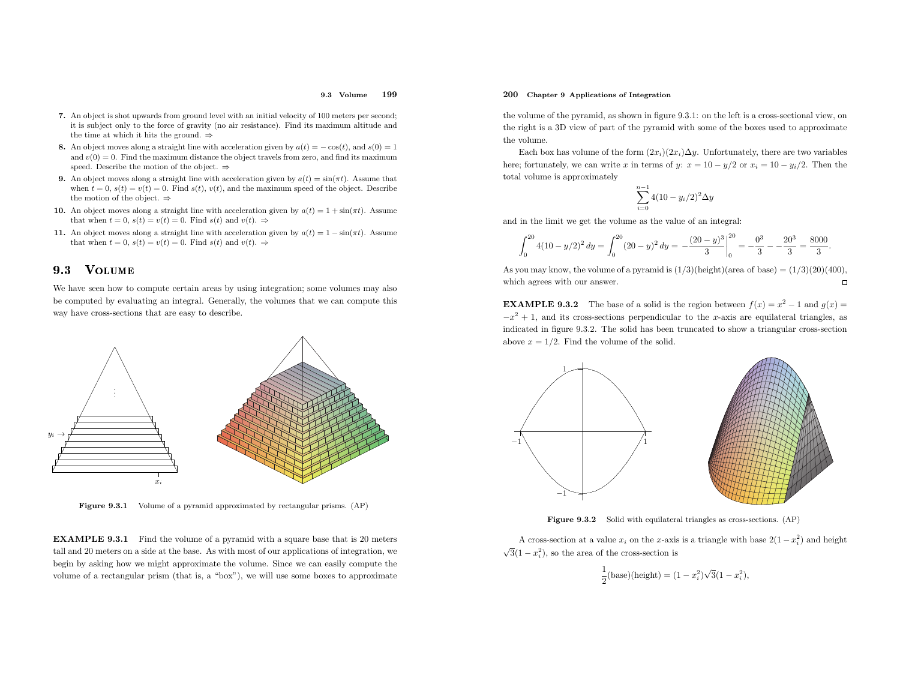#### 9.3 Volume<sup>199</sup>

- 7. An object is shot upwards from ground level with an initial velocity of <sup>100</sup> meters per second; it is subject only to the force of gravity (no air resistance). Find its maximum altitude andthe time at which it hits the ground.  $\Rightarrow$
- 8. An object moves along a straight line with acceleration given by  $a(t) = -\cos(t)$ , and  $s(0) = 1$ and  $v(0) = 0$ . Find the maximum distance the object travels from zero, and find its maximum speed. Describe the motion of the object.  $\Rightarrow$
- **9.** An object moves along a straight line with acceleration given by  $a(t) = \sin(\pi t)$ . Assume that when  $t = 0$ ,  $s(t) = v(t) = 0$ . Find  $s(t)$ ,  $v(t)$ , and the maximum speed of the object. Describe the motion of the object.  $\Rightarrow$
- **10.** An object moves along a straight line with acceleration given by  $a(t) = 1 + \sin(\pi t)$ . Assume that when  $t = 0$ ,  $s(t) = v(t) = 0$ . Find  $s(t)$  and  $v(t)$ .  $\Rightarrow$
- 11. An object moves along a straight line with acceleration given by  $a(t) = 1 \sin(\pi t)$ . Assume that when  $t = 0$ ,  $s(t) = v(t) = 0$ . Find  $s(t)$  and  $v(t)$ .  $\Rightarrow$

#### 9.3**VOLUME**

We have seen how to compute certain areas by using integration; some volumes may also be computed by evaluating an integral. Generally, the volumes that we can compute this way have cross-sections that are easy to describe.



Figure 9.3.1 Volume of <sup>a</sup> pyramid approximated by rectangular prisms. (AP)

EXAMPLE 9.3.1 Find the volume of <sup>a</sup> pyramid with <sup>a</sup> square base that is <sup>20</sup> meters tall and <sup>20</sup> meters on <sup>a</sup> side at the base. As with most of our applications of integration, we begin by asking how we might approximate the volume. Since we can easily compute the volume of <sup>a</sup> rectangular prism (that is, <sup>a</sup> "box"), we will use some boxes to approximate

# 200 Chapter <sup>9</sup> Applications of Integration

the volume of the pyramid, as shown in figure 9.3.1: on the left is <sup>a</sup> cross-sectional view, on the right is <sup>a</sup> 3D view of part of the pyramid with some of the boxes used to approximate the volume.

Each box has volume of the form  $(2x_i)(2x_i)\Delta y$ . Unfortunately, there are two variables here; fortunately, we can write x in terms of y:  $x = 10 - y/2$  or  $x_i = 10 - y_i/2$ . Then the total volume is approximately

$$
\sum_{i=0}^{n-1} 4(10 - y_i/2)^2 \Delta y
$$

and in the limit we get the volume as the value of an integral:

$$
\int_0^{20} 4(10 - y/2)^2 dy = \int_0^{20} (20 - y)^2 dy = -\frac{(20 - y)^3}{3} \bigg|_0^{20} = -\frac{0^3}{3} - \frac{20^3}{3} = \frac{8000}{3}.
$$

As you may know, the volume of a pyramid is  $(1/3)(\text{height})(\text{area of base}) = (1/3)(20)(400)$ , which agrees with our answer.  $\Box$ 

**EXAMPLE 9.3.2** The base of a solid is the region between  $f(x) = x^2 - 1$  and  $g(x) = 0$ .  $-x^2 + 1$ , and its cross-sections perpendicular to the x-axis are equilateral triangles, as indicated in figure 9.3.2. The solid has been truncated to show <sup>a</sup> triangular cross-sectionabove  $x = 1/2$ . Find the volume of the solid.



Figure 9.3.2 Solid with equilateral triangles as cross-sections. (AP)

A cross-section at a value  $x_i$  on the x-axis is a triangle with base  $2(1-x_i^2)$  and height  $\sqrt{3}(1-x_i^2)$ , so the area of the cross-section is

$$
\frac{1}{2}(\text{base})(\text{height}) = (1 - x_i^2)\sqrt{3}(1 - x_i^2),
$$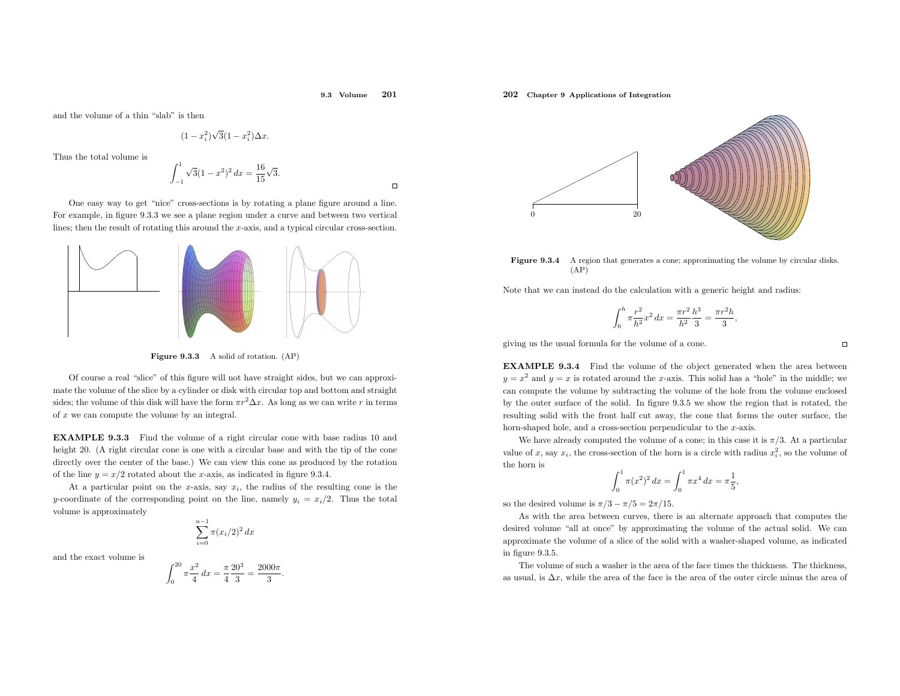#### 9.3 Volume<sup>201</sup>

and the volume of <sup>a</sup> thin "slab" is then

$$
(1-x_i^2)\sqrt{3}(1-x_i^2)\Delta x.
$$

Thus the total volume is

$$
\int_{-1}^{1} \sqrt{3}(1-x^2)^2 dx = \frac{16}{15}\sqrt{3}.
$$

One easy way to get "nice" cross-sections is by rotating <sup>a</sup> <sup>p</sup>lane figure around <sup>a</sup> line. For example, in figure 9.3.3 we see <sup>a</sup> <sup>p</sup>lane region under <sup>a</sup> curve and between two vertical lines; then the result of rotating this around the <sup>x</sup>-axis, and <sup>a</sup> typical circular cross-section.



Figure 9.3.3 <sup>A</sup> solid of rotation. (AP)

Of course <sup>a</sup> real "slice" of this figure will not have straight sides, but we can approximate the volume of the slice by <sup>a</sup> cylinder or disk with circular top and bottom and straight sides; the volume of this disk will have the form  $\pi r^2 \Delta x$ . As long as we can write r in terms of  $x$  we can compute the volume by an integral.

EXAMPLE 9.3.3 Find the volume of <sup>a</sup> right circular cone with base radius <sup>10</sup> and height 20. (A right circular cone is one with a circular base and with the tip of the cone directly over the center of the base.) We can view this cone as produced by the rotationof the line  $y = x/2$  rotated about the x-axis, as indicated in figure 9.3.4.

At a particular point on the x-axis, say  $x_i$ , the radius of the resulting cone is the y-coordinate of the corresponding point on the line, namely  $y_i = x_i/2$ . Thus the total volume is approximately

$$
\sum_{i=0}^{n-1} \pi (x_i/2)^2 \, dx
$$

and the exact volume is

$$
\int_0^{20} \pi \frac{x^2}{4} dx = \frac{\pi}{4} \frac{20^3}{3} = \frac{2000\pi}{3}.
$$

# 202 Chapter <sup>9</sup> Applications of Integration



Figure 9.3.4 A region that generates a cone; approximating the volume by circular disks.  $(AP)$ 

Note that we can instead do the calculation with <sup>a</sup> generic height and radius:

$$
\int_0^h \pi \frac{r^2}{h^2} x^2 dx = \frac{\pi r^2}{h^2} \frac{h^3}{3} = \frac{\pi r^2 h}{3},
$$

<sup>g</sup>iving us the usual formula for the volume of <sup>a</sup> cone.

EXAMPLE 9.3.4 Find the volume of the object generated when the area between  $y = x^2$  and  $y = x$  is rotated around the x-axis. This solid has a "hole" in the middle; we can compute the volume by subtracting the volume of the hole from the volume enclosed by the outer surface of the solid. In figure 9.3.5 we show the region that is rotated, the resulting solid with the front half cut away, the cone that forms the outer surface, the horn-shaped hole, and a cross-section perpendicular to the x-axis.

We have already computed the volume of a cone; in this case it is  $\pi/3$ . At a particular value of x, say  $x_i$ , the cross-section of the horn is a circle with radius  $x_i^2$ , so the volume of the horn is

$$
\int_0^1 \pi(x^2)^2 dx = \int_0^1 \pi x^4 dx = \pi \frac{1}{5},
$$

so the desired volume is  $\pi/3 - \pi/5 = 2\pi/15$ .

As with the area between curves, there is an alternate approac<sup>h</sup> that computes the desired volume "all at once" by approximating the volume of the actual solid. We can approximate the volume of <sup>a</sup> slice of the solid with <sup>a</sup> washer-shaped volume, as indicatedin figure 9.3.5.

The volume of such <sup>a</sup> washer is the area of the face times the thickness. The thickness, as usual, is  $\Delta x$ , while the area of the face is the area of the outer circle minus the area of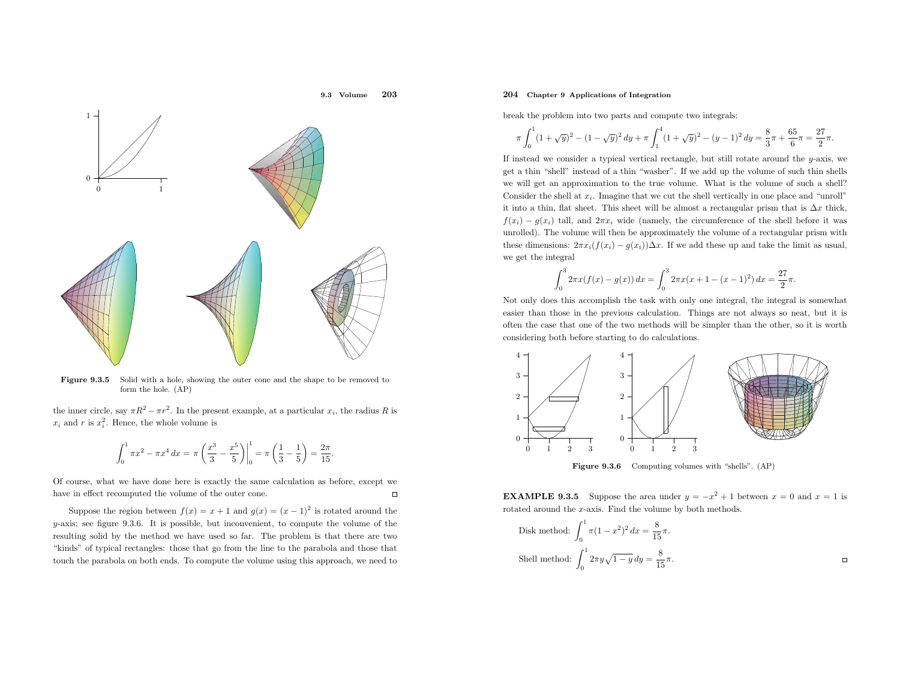

Figure 9.3.5 Solid with <sup>a</sup> hole, showing the outer cone and the shape to be removed to form the hole. (AP)

the inner circle, say  $\pi R^2 - \pi r^2$ . In the present example, at a particular  $x_i$ , the radius R is  $x_i$  and r is  $x_i^2$ . Hence, the whole volume is

$$
\int_0^1 \pi x^2 - \pi x^4 dx = \pi \left(\frac{x^3}{3} - \frac{x^5}{5}\right)\Big|_0^1 = \pi \left(\frac{1}{3} - \frac{1}{5}\right) = \frac{2\pi}{15}.
$$

Of course, what we have done here is exactly the same calculation as before, except we have in effect recomputed the volume of the outer cone.  $\Box$ 

Suppose the region between  $f(x) = x + 1$  and  $g(x) = (x - 1)^2$  is rotated around the  $y$ -axis; see figure 9.3.6. It is possible, but inconvenient, to compute the volume of the resulting solid by the method we have used so far. The problem is that there are two "kinds" of typical rectangles: those that go from the line to the parabola and those that touch the parabola on both ends. To compute the volume using this approach, we need to

# 204 Chapter <sup>9</sup> Applications of Integration

break the problem into two parts and compute two integrals:

$$
\pi \int_0^1 (1+\sqrt{y})^2 - (1-\sqrt{y})^2 \, dy + \pi \int_1^4 (1+\sqrt{y})^2 - (y-1)^2 \, dy = \frac{8}{3}\pi + \frac{65}{6}\pi = \frac{27}{2}\pi.
$$

If instead we consider <sup>a</sup> typical vertical rectangle, but still rotate around the <sup>y</sup>-axis, we get <sup>a</sup> thin "shell" instead of <sup>a</sup> thin "washer". If we add up the volume of such thin shells we will get an approximation to the true volume. What is the volume of such <sup>a</sup> shell? Consider the shell at  $x_i$ . Imagine that we cut the shell vertically in one place and "unroll" it into a thin, flat sheet. This sheet will be almost a rectangular prism that is  $\Delta x$  thick,  $f(x_i) - g(x_i)$  tall, and  $2\pi x_i$  wide (namely, the circumference of the shell before it was unrolled). The volume will then be approximately the volume of <sup>a</sup> rectangular prism withthese dimensions:  $2\pi x_i(f(x_i) - g(x_i))\Delta x$ . If we add these up and take the limit as usual, we get the integral

$$
\int_0^3 2\pi x (f(x) - g(x)) dx = \int_0^3 2\pi x (x + 1 - (x - 1)^2) dx = \frac{27}{2}\pi.
$$

Not only does this accomplish the task with only one integral, the integral is somewhat easier than those in the previous calculation. Things are not always so neat, but it is often the case that one of the two methods will be simpler than the other, so it is worth considering both before starting to do calculations.



Figure 9.3.6 Computing volumes with "shells". (AP)

**EXAMPLE 9.3.5** Suppose the area under  $y = -x^2 + 1$  between  $x = 0$  and  $x = 1$  is rotated around the <sup>x</sup>-axis. Find the volume by both methods.

Disk method: 
$$
\int_0^1 \pi (1 - x^2)^2 dx = \frac{8}{15} \pi.
$$
Shell method: 
$$
\int_0^1 2\pi y \sqrt{1 - y} dy = \frac{8}{15} \pi.
$$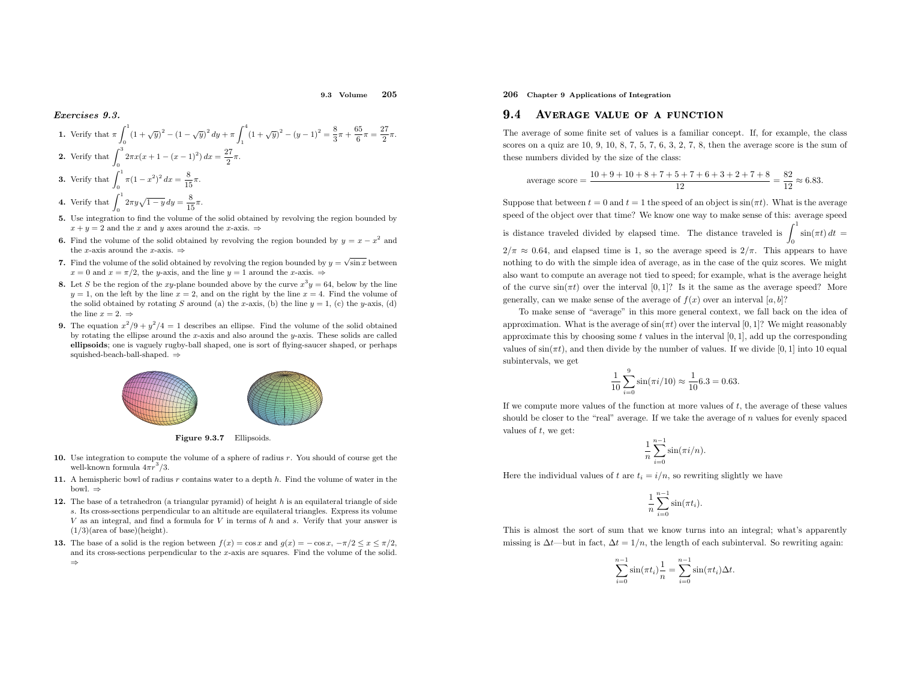9.3 Volume<sup>205</sup>

#### Exercises 9.3.

1. Verify that 
$$
\pi \int_0^1 (1 + \sqrt{y})^2 - (1 - \sqrt{y})^2 dy + \pi \int_1^4 (1 + \sqrt{y})^2 - (y - 1)^2 = \frac{8}{3}\pi + \frac{65}{6}\pi = \frac{27}{2}\pi
$$
.  
\n2. Verify that  $\int_0^3 2\pi x (x + 1 - (x - 1)^2) dx = \frac{27}{2}\pi$ .  
\n3. Verify that  $\int_0^1 \pi (1 - x^2)^2 dx = \frac{8}{15}\pi$ .

- **4.** Verify that  $\int_0^1 2\pi y \sqrt{1-y} \, dy = \frac{8}{15}\pi$ .
- 5. Use integration to find the volume of the solid obtained by revolving the region bounded by $x + y = 2$  and the x and y axes around the x-axis.  $\Rightarrow$
- **6.** Find the volume of the solid obtained by revolving the region bounded by  $y = x x^2$  and the x-axis around the x-axis.  $\Rightarrow$
- 7. Find the volume of the solid obtained by revolving the region bounded by  $y = \sqrt{\sin x}$  between  $x = 0$  and  $x = \pi/2$ , the y-axis, and the line  $y = 1$  around the x-axis.  $\Rightarrow$
- **8.** Let S be the region of the xy-plane bounded above by the curve  $x^3y = 64$ , below by the line  $y = 1$ , on the left by the line  $x = 2$ , and on the right by the line  $x = 4$ . Find the volume of the solid obtained by rotating S around (a) the x-axis, (b) the line  $y = 1$ , (c) the y-axis, (d) the line  $x = 2. \Rightarrow$
- **9.** The equation  $x^2/9 + y^2/4 = 1$  describes an ellipse. Find the volume of the solid obtained The equation  $x/9 + y/4 = 1$  describes an ellipse. Find the volume of the solid obtained<br>by rotating the ellipse around the x-axis and also around the y-axis. These solids are called ellipsoids; one is vaguely rugby-ball shaped, one is sort of flying-saucer shaped, or perhaps squished-beach-ball-shaped.⇒



Figure 9.3.7 Ellipsoids.

- **10.** Use integration to compute the volume of a sphere of radius  $r$ . You should of course get the well-known formula  $4\pi r^3/3$ .
- 11. A hemispheric bowl of radius  $r$  contains water to a depth  $h$ . Find the volume of water in the bowl.⇒
- **12.** The base of a tetrahedron (a triangular pyramid) of height  $h$  is an equilateral triangle of side <sup>s</sup>. Its cross-sections perpendicular to an altitude are equilateral triangles. Express its volume  $V$  as an integral, and find a formula for  $V$  in terms of  $h$  and  $s$ . Verify that your answer is  $(1/3)(area of base)(height).$
- **13.** The base of a solid is the region between  $f(x) = \cos x$  and  $g(x) = -\cos x$ ,  $-\pi/2 \le x \le \pi/2$ , and its cross-sections perpendicular to the <sup>x</sup>-axis are squares. Find the volume of the solid. ⇒

206 Chapter <sup>9</sup> Applications of Integration

#### 9.44 AVERAGE VALUE OF A FUNCTION

The average of some finite set of values is <sup>a</sup> familiar concept. If, for example, the class scores on a quiz are  $10, 9, 10, 8, 7, 5, 7, 6, 3, 2, 7, 8$ , then the average score is the sum of these numbers divided by the size of the class:

average score = 
$$
\frac{10+9+10+8+7+5+7+6+3+2+7+8}{12} = \frac{82}{12} \approx 6.83.
$$

Suppose that between  $t = 0$  and  $t = 1$  the speed of an object is  $sin(\pi t)$ . What is the average speed of the object over that time? We know one way to make sense of this: average speedis distance traveled divided by elapsed time. The distance traveled is  $\int_0^1 \sin(\pi t) dt =$  $2/\pi \approx 0.64$ , and elapsed time is 1, so the average speed is  $2/\pi$ . This appears to have nothing to do with the simple idea of average, as in the case of the quiz scores. We might also want to compute an average not tied to speed; for example, what is the average height of the curve  $sin(\pi t)$  over the interval [0, 1]? Is it the same as the average speed? More generally, can we make sense of the average of  $f(x)$  over an interval [a, b]?

To make sense of "average" in this more genera<sup>l</sup> context, we fall back on the idea of approximation. What is the average of  $\sin(\pi t)$  over the interval [0, 1]? We might reasonably approximate this by choosing some  $t$  values in the interval  $[0, 1]$ , add up the corresponding values of  $sin(\pi t)$ , and then divide by the number of values. If we divide [0, 1] into 10 equal subintervals, we get

$$
\frac{1}{10} \sum_{i=0}^{9} \sin(\pi i/10) \approx \frac{1}{10} 6.3 = 0.63.
$$

If we compute more values of the function at more values of  $t$ , the average of these values should be closer to the "real" average. If we take the average of <sup>n</sup> values for evenly spaced values of  $t$ , we get:

$$
\frac{1}{n}\sum_{i=0}^{n-1}\sin(\pi i/n).
$$

Here the individual values of  $t$  are  $t_i = i/n$ , so rewriting slightly we have

$$
\frac{1}{n}\sum_{i=0}^{n-1}\sin(\pi t_i).
$$

This is almost the sort of sum that we know turns into an integral; what's apparentlymissing is  $\Delta t$ —but in fact,  $\Delta t = 1/n$ , the length of each subinterval. So rewriting again:

$$
\sum_{i=0}^{n-1} \sin(\pi t_i) \frac{1}{n} = \sum_{i=0}^{n-1} \sin(\pi t_i) \Delta t.
$$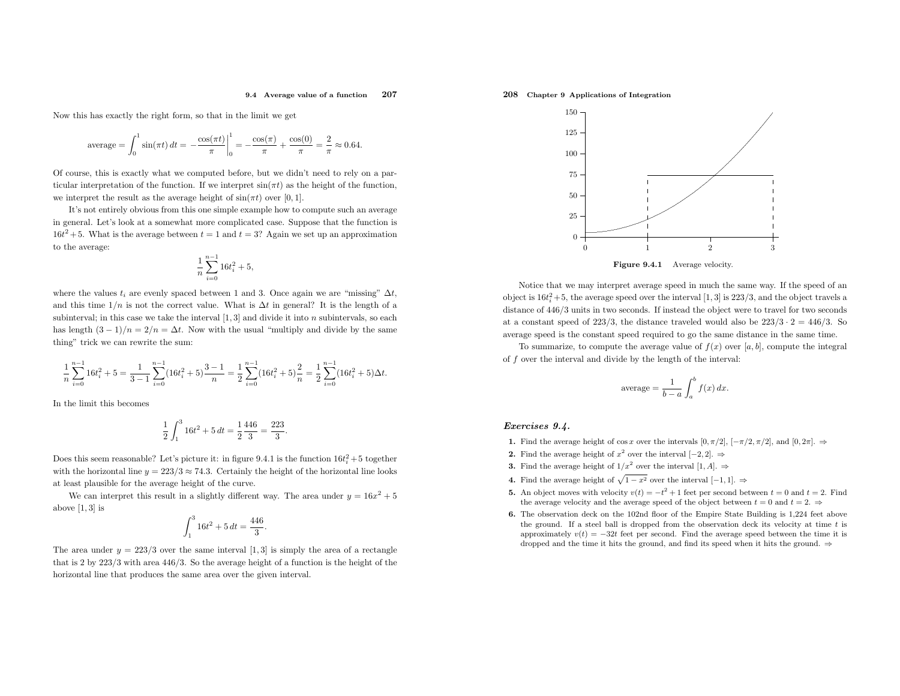#### 9.4 Average value of <sup>a</sup> function<sup>207</sup>

Now this has exactly the right form, so that in the limit we get

$$
\text{average} = \int_0^1 \sin(\pi t) \, dt = -\frac{\cos(\pi t)}{\pi} \bigg|_0^1 = -\frac{\cos(\pi)}{\pi} + \frac{\cos(0)}{\pi} = \frac{2}{\pi} \approx 0.64.
$$

Of course, this is exactly what we computed before, but we didn't need to rely on <sup>a</sup> particular interpretation of the function. If we interpret  $\sin(\pi t)$  as the height of the function, we interpret the result as the average height of  $\sin(\pi t)$  over [0, 1].

It's not entirely obvious from this one simple example how to compute such an average in general. Let's look at <sup>a</sup> somewhat more complicated case. Suppose that the function is  $16t^2 + 5$ . What is the average between  $t = 1$  and  $t = 3$ ? Again we set up an approximation to the average:

$$
\frac{1}{n}\sum_{i=0}^{n-1} 16t_i^2 + 5,
$$

where the values  $t_i$  are evenly spaced between 1 and 3. Once again we are "missing"  $\Delta t$ , and this time  $1/n$  is not the correct value. What is  $\Delta t$  in general? It is the length of a subinterval; in this case we take the interval  $[1, 3]$  and divide it into n subintervals, so each has length  $(3-1)/n = 2/n = \Delta t$ . Now with the usual "multiply and divide by the same thing" trick we can rewrite the sum:

$$
\frac{1}{n}\sum_{i=0}^{n-1} 16t_i^2 + 5 = \frac{1}{3-1}\sum_{i=0}^{n-1} (16t_i^2 + 5)\frac{3-1}{n} = \frac{1}{2}\sum_{i=0}^{n-1} (16t_i^2 + 5)\frac{2}{n} = \frac{1}{2}\sum_{i=0}^{n-1} (16t_i^2 + 5)\Delta t.
$$

In the limit this becomes

$$
\frac{1}{2} \int_1^3 16t^2 + 5 dt = \frac{1}{2} \frac{446}{3} = \frac{223}{3}.
$$

Does this seem reasonable? Let's picture it: in figure 9.4.1 is the function  $16t_i^2 + 5$  together with the horizontal line  $y = 223/3 \approx 74.3$ . Certainly the height of the horizontal line looks at least <sup>p</sup>lausible for the average height of the curve.

We can interpret this result in a slightly different way. The area under  $y = 16x^2 + 5$ above  $[1, 3]$  is

$$
\int_{1}^{3} 16t^2 + 5 dt = \frac{446}{3}.
$$

The area under  $y = 223/3$  over the same interval [1, 3] is simply the area of a rectangle that is <sup>2</sup> by <sup>223</sup>/<sup>3</sup> with area <sup>446</sup>/3. So the average height of <sup>a</sup> function is the height of the horizontal line that produces the same area over the <sup>g</sup>iven interval.

# 208 Chapter <sup>9</sup> Applications of Integration



Notice that we may interpret average speed in much the same way. If the speed of anobject is  $16t_i^2 + 5$ , the average speed over the interval [1, 3] is 223/3, and the object travels a distance of  $446/3$  units in two seconds. If instead the object were to travel for two seconds at a constant speed of 223/3, the distance traveled would also be  $223/3 \cdot 2 = 446/3$ . So average speed is the constant speed required to go the same distance in the same time.

To summarize, to compute the average value of  $f(x)$  over [a, b], compute the integral of f over the interval and divide by the length of the interval:

$$
\text{average} = \frac{1}{b-a} \int_{a}^{b} f(x) \, dx.
$$

### Exercises 9.4.

- 1. Find the average height of cos x over the intervals  $[0, π/2]$ ,  $[-π/2, π/2]$ , and  $[0, 2π]$ . ⇒
- 2. Find the average height of  $x^2$  over the interval [-2, 2]. ⇒
- **3.** Find the average height of  $1/x^2$  over the interval  $[1, A]$ .  $\Rightarrow$
- 4. Find the average height of  $\sqrt{1-x^2}$  over the interval  $[-1,1]$ . ⇒
- **5.** An object moves with velocity  $v(t) = -t^2 + 1$  feet per second between  $t = 0$  and  $t = 2$ . Find the average velocity and the average speed of the object between  $t = 0$  and  $t = 2$ .
- 6. The observation deck on the 102nd floor of the Empire State Building is 1,224 feet above the ground. If a steel ball is dropped from the observation deck its velocity at time  $t$  is approximately  $v(t) = -32t$  feet per second. Find the average speed between the time it is dropped and the time it hits the ground, and find its speed when it hits the ground.  $\Rightarrow$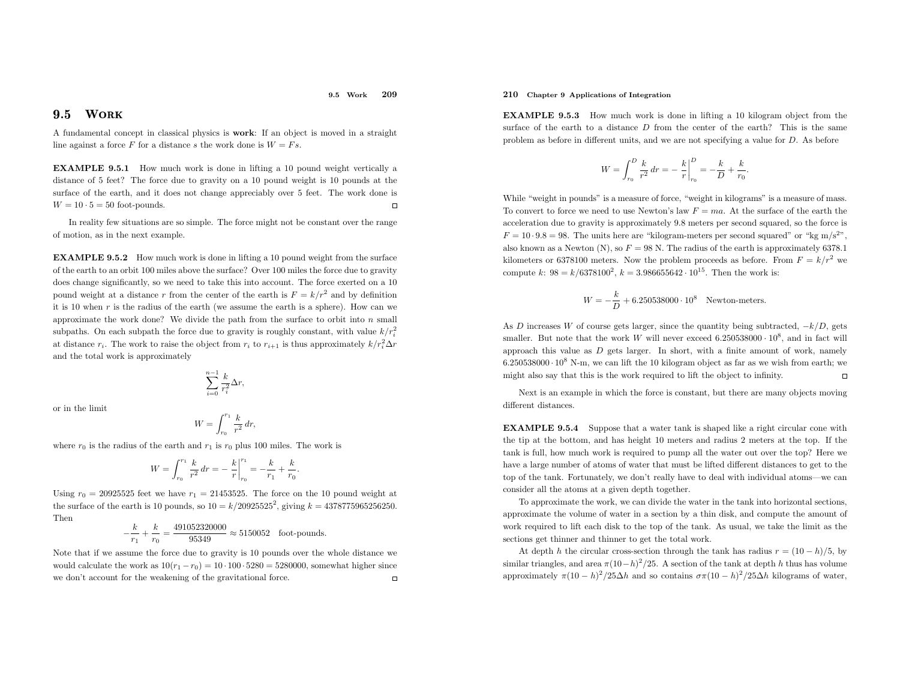#### 9.5 Work<sup>209</sup>

#### 9.5**WORK**

 <sup>A</sup> fundamental concept in classical <sup>p</sup>hysics is work: If an object is moved in <sup>a</sup> straight line against a force  $F$  for a distance  $s$  the work done is  $W = Fs$ .

EXAMPLE 9.5.1 How much work is done in lifting <sup>a</sup> <sup>10</sup> pound weight vertically <sup>a</sup> distance of <sup>5</sup> feet? The force due to gravity on <sup>a</sup> <sup>10</sup> pound weight is <sup>10</sup> pounds at the surface of the earth, and it does not change appreciably over <sup>5</sup> feet. The work done is  $\Box$  $W = 10 \cdot 5 = 50$  foot-pounds.

In reality few situations are so simple. The force might not be constant over the range of motion, as in the next example.

EXAMPLE 9.5.2 How much work is done in lifting <sup>a</sup> <sup>10</sup> pound weight from the surface of the earth to an orbit <sup>100</sup> miles above the surface? Over <sup>100</sup> miles the force due to gravity does change significantly, so we need to take this into account. The force exerted on <sup>a</sup> <sup>10</sup> pound weight at a distance r from the center of the earth is  $F = k/r^2$  and by definition it is 10 when  $r$  is the radius of the earth (we assume the earth is a sphere). How can we approximate the work done? We divide the path from the surface to orbit into  $n$  small subpaths. On each subpath the force due to gravity is roughly constant, with value  $k/r_i^2$ at distance  $r_i$ . The work to raise the object from  $r_i$  to  $r_{i+1}$  is thus approximately  $k/r_i^2 \Delta r$ and the total work is approximately

$$
\sum_{i=0}^{n-1} \frac{k}{r_i^2} \Delta r,
$$

or in the limit

$$
W = \int_{r_0}^{r_1} \frac{k}{r^2}
$$

dr,

where  $r_0$  is the radius of the earth and  $r_1$  is  $r_0$  plus 100 miles. The work is

$$
W = \int_{r_0}^{r_1} \frac{k}{r^2} dr = -\frac{k}{r} \Big|_{r_0}^{r_1} = -\frac{k}{r_1} + \frac{k}{r_0}.
$$

Using  $r_0 = 20925525$  feet we have  $r_1 = 21453525$ . The force on the 10 pound weight at the surface of the earth is 10 pounds, so  $10 = k/20925525^2$ , giving  $k = 4378775965256250$ . Then

$$
-\frac{k}{r_1} + \frac{k}{r_0} = \frac{491052320000}{95349} \approx 5150052
$$
 foot-pounds.

Note that if we assume the force due to gravity is <sup>10</sup> pounds over the whole distance we would calculate the work as  $10(r_1 - r_0) = 10 \cdot 100 \cdot 5280 = 5280000$ , somewhat higher since we don't account for the weakening of the gravitational force.  $\Box$ 

# 210 Chapter <sup>9</sup> Applications of Integration

EXAMPLE 9.5.3 How much work is done in lifting <sup>a</sup> <sup>10</sup> kilogram object from the surface of the earth to a distance  $D$  from the center of the earth? This is the same problem as before in different units, and we are not specifying <sup>a</sup> value for <sup>D</sup>. As before

$$
W = \int_{r_0}^{D} \frac{k}{r^2} dr = -\frac{k}{r} \bigg|_{r_0}^{D} = -\frac{k}{D} + \frac{k}{r_0}
$$

While "weight in pounds" is <sup>a</sup> measure of force, "weight in kilograms" is <sup>a</sup> measure of mass. To convert to force we need to use Newton's law  $F=$  ma. At the surface of the earth the acceleration due to gravity is approximately 9.8 meters per second squared, so the force is  $F = 10 \cdot 9.8 = 98$ . The units here are "kilogram-meters per second squared" or "kg m/s<sup>2"</sup>, also known as a Newton (N), so  $F = 98$  N. The radius of the earth is approximately 6378.1 kilometers or 6378100 meters. Now the problem proceeds as before. From  $F = k/r^2$  we compute k:  $98 = k/6378100^2$ ,  $k = 3.986655642 \cdot 10^{15}$ . Then the work is:

$$
W = -\frac{k}{D} + 6.250538000 \cdot 10^8
$$
 Newton-meters.

As D increases W of course gets larger, since the quantity being subtracted,  $-k/D$ , gets smaller. But note that the work W will never exceed 6.250538000  $\cdot 10^8$ , and in fact will approach this value as  $D$  gets larger. In short, with a finite amount of work, namely  $6.250538000 \cdot 10^8$  N-m, we can lift the 10 kilogram object as far as we wish from earth; we might also say that this is the work required to lift the object to infinity.  $\Box$ 

Next is an example in which the force is constant, but there are many objects moving different distances.

EXAMPLE 9.5.4 Suppose that <sup>a</sup> water tank is shaped like <sup>a</sup> right circular cone with the tip at the bottom, and has height <sup>10</sup> meters and radius <sup>2</sup> meters at the top. If the tank is full, how much work is required to pump all the water out over the top? Here we have <sup>a</sup> large number of atoms of water that must be lifted different distances to get to the top of the tank. Fortunately, we don't really have to deal with individual atoms—we canconsider all the atoms at <sup>a</sup> <sup>g</sup>iven depth together.

To approximate the work, we can divide the water in the tank into horizontal sections, approximate the volume of water in <sup>a</sup> section by <sup>a</sup> thin disk, and compute the amount of work required to lift each disk to the top of the tank. As usual, we take the limit as the sections get thinner and thinner to get the total work.

At depth h the circular cross-section through the tank has radius  $r = (10 - h)/5$ , by similar triangles, and area  $\pi (10-h)^2/25$ . A section of the tank at depth h thus has volume approximately  $\pi (10 - h)^2 / 25 \Delta h$  and so contains  $\sigma \pi (10 - h)^2 / 25 \Delta h$  kilograms of water,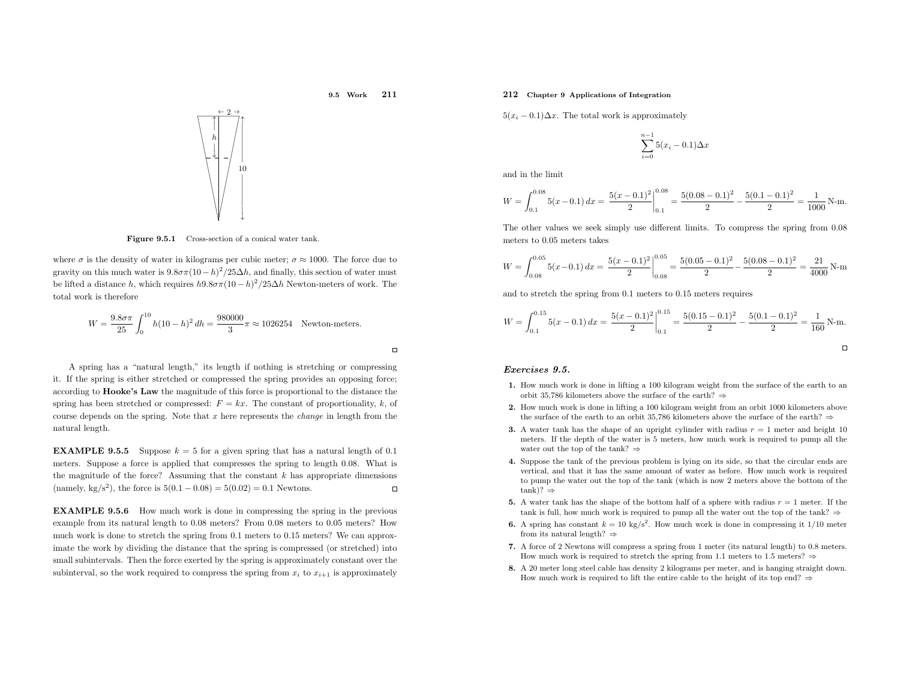

 $\Box$ 



 $5(x_i - 0.1)\Delta x$ . The total work is approximately

$$
\sum_{i=0}^{n-1} 5(x_i - 0.1)\Delta x
$$

and in the limit

$$
W = \int_{0.1}^{0.08} 5(x - 0.1) dx = \left. \frac{5(x - 0.1)^2}{2} \right|_{0.1}^{0.08} = \frac{5(0.08 - 0.1)^2}{2} - \frac{5(0.1 - 0.1)^2}{2} = \frac{1}{1000} \text{ N-m}.
$$

The other values we seek simply use different limits. To compress the spring from <sup>0</sup>.<sup>08</sup> meters to <sup>0</sup>.<sup>05</sup> meters takes

$$
W = \int_{0.08}^{0.05} 5(x - 0.1) dx = \frac{5(x - 0.1)^2}{2} \Big|_{0.08}^{0.05} = \frac{5(0.05 - 0.1)^2}{2} - \frac{5(0.08 - 0.1)^2}{2} = \frac{21}{4000} \text{ N-m}
$$

and to stretch the spring from <sup>0</sup>.<sup>1</sup> meters to <sup>0</sup>.<sup>15</sup> meters requires

$$
W = \int_{0.1}^{0.15} 5(x - 0.1) dx = \frac{5(x - 0.1)^2}{2} \Big|_{0.1}^{0.15} = \frac{5(0.15 - 0.1)^2}{2} - \frac{5(0.1 - 0.1)^2}{2} = \frac{1}{160} \text{ N-m}.
$$

#### Exercises 9.5.

- 1. How much work is done in lifting <sup>a</sup> <sup>100</sup> kilogram weight from the surface of the earth to anorbit 35,786 kilometers above the surface of the earth?  $\Rightarrow$
- 2. How much work is done in lifting <sup>a</sup> <sup>100</sup> kilogram weight from an orbit <sup>1000</sup> kilometers above the surface of the earth to an orbit 35,786 kilometers above the surface of the earth?  $\Rightarrow$
- **3.** A water tank has the shape of an upright cylinder with radius  $r = 1$  meter and height 10 meters. If the depth of the water is <sup>5</sup> meters, how much work is required to pump all the water out the top of the tank? <sup>⇒</sup>
- 4. Suppose the tank of the previous problem is lying on its side, so that the circular ends are vertical, and that it has the same amount of water as before. How much work is required to pump the water out the top of the tank (which is now <sup>2</sup> meters above the bottom of the tank)? <sup>⇒</sup>
- **5.** A water tank has the shape of the bottom half of a sphere with radius  $r = 1$  meter. If the tank is full, how much work is required to pump all the water out the top of the tank?  $\Rightarrow$
- **6.** A spring has constant  $k = 10 \text{ kg/s}^2$ . How much work is done in compressing it 1/10 meter from its natural length?  $\Rightarrow$
- 7. <sup>A</sup> force of <sup>2</sup> Newtons will compress <sup>a</sup> spring from <sup>1</sup> meter (its natural length) to 0.8 meters. How much work is required to stretch the spring from 1.1 meters to 1.5 meters?  $\Rightarrow$
- 8. <sup>A</sup> <sup>20</sup> meter long steel cable has density <sup>2</sup> kilograms per meter, and is hanging straight down. How much work is required to lift the entire cable to the height of its top end?  $\Rightarrow$



2

Figure 9.5.1 Cross-section of <sup>a</sup> conical water tank.

where  $\sigma$  is the density of water in kilograms per cubic meter;  $\sigma \approx 1000$ . The force due to gravity on this much water is  $9.8\sigma\pi(10-h)^2/25\Delta h$ , and finally, this section of water must be lifted a distance h, which requires  $h9.8\sigma\pi(10-h)^2/25\Delta h$  Newton-meters of work. The total work is therefore

$$
W = \frac{9.8\sigma\pi}{25} \int_0^{10} h(10 - h)^2 dh = \frac{980000}{3} \pi \approx 1026254
$$
 Newton-meters.

<sup>A</sup> spring has <sup>a</sup> "natural length," its length if nothing is stretching or compressing it. If the spring is either stretched or compressed the spring provides an opposing force; according to **Hooke's Law** the magnitude of this force is proportional to the distance the spring has been stretched or compressed:  $F = kx$ . The constant of proportionality, k, of course depends on the spring. Note that  $x$  here represents the *change* in length from the natural length.

**EXAMPLE 9.5.5** Suppose  $k = 5$  for a given spring that has a natural length of 0.1 meters. Suppose <sup>a</sup> force is applied that compresses the spring to length <sup>0</sup>.08. What is the magnitude of the force? Assuming that the constant  $k$  has appropriate dimensions (namely, kg/s<sup>2</sup>), the force is  $5(0.1 - 0.08) = 5(0.02) = 0.1$  Newtons.  $\Box$ 

EXAMPLE 9.5.6 How much work is done in compressing the spring in the previous example from its natural length to <sup>0</sup>.<sup>08</sup> meters? From <sup>0</sup>.<sup>08</sup> meters to <sup>0</sup>.<sup>05</sup> meters? How much work is done to stretch the spring from <sup>0</sup>.<sup>1</sup> meters to <sup>0</sup>.<sup>15</sup> meters? We can approximate the work by dividing the distance that the spring is compressed (or stretched) into small subintervals. Then the force exerted by the spring is approximately constant over the subinterval, so the work required to compress the spring from  $x_i$  to  $x_{i+1}$  is approximately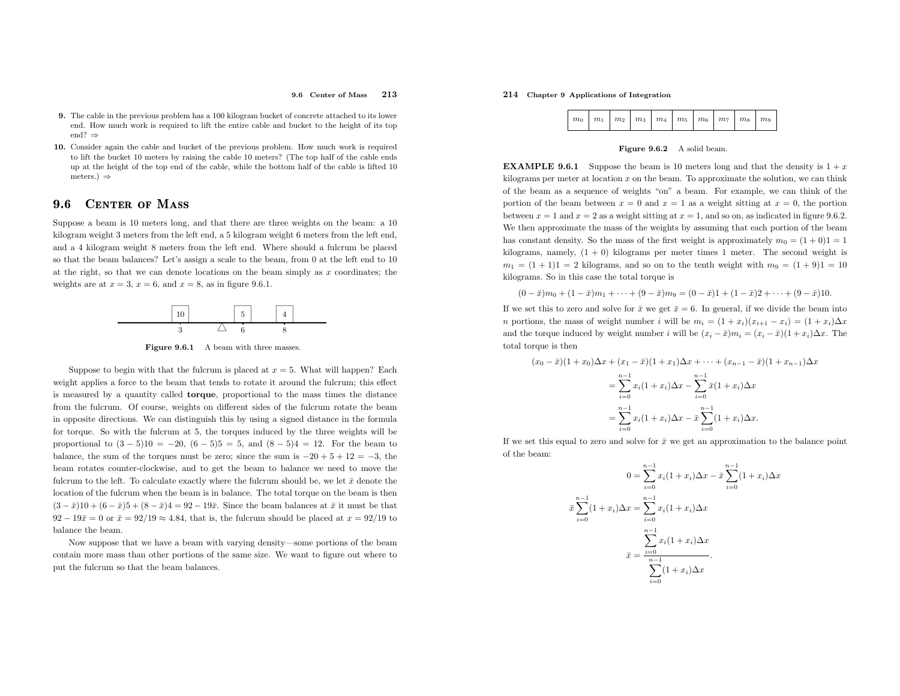#### 9.6 Center of Mass <sup>213</sup>

- 9. The cable in the previous problem has <sup>a</sup> <sup>100</sup> kilogram bucket of concrete attached to its lower end. How much work is required to lift the entire cable and bucket to the height of its topend?⇒
- 10. Consider again the cable and bucket of the previous problem. How much work is required to lift the bucket <sup>10</sup> meters by raising the cable <sup>10</sup> meters? (The top half of the cable ends up at the height of the top end of the cable, while the bottom half of the cable is lifted <sup>10</sup>meters.)⇒

#### 9.66 CENTER OF MASS

Suppose <sup>a</sup> beam is <sup>10</sup> meters long, and that there are three weights on the beam: <sup>a</sup> <sup>10</sup> kilogram weight <sup>3</sup> meters from the left end, <sup>a</sup> <sup>5</sup> kilogram weight <sup>6</sup> meters from the left end, and <sup>a</sup> <sup>4</sup> kilogram weight <sup>8</sup> meters from the left end. Where should <sup>a</sup> fulcrum be <sup>p</sup>laced so that the beam balances? Let's assign <sup>a</sup> scale to the beam, from <sup>0</sup> at the left end to <sup>10</sup> at the right, so that we can denote locations on the beam simply as  $x$  coordinates; the weights are at  $x = 3$ ,  $x = 6$ , and  $x = 8$ , as in figure 9.6.1.



**Figure 9.6.1** A beam with three masses.

Suppose to begin with that the fulcrum is placed at  $x = 5$ . What will happen? Each weight applies a force to the beam that tends to rotate it around the fulcrum; this effect is measured by <sup>a</sup> quantity called torque, proportional to the mass times the distance from the fulcrum. Of course, weights on different sides of the fulcrum rotate the beam in opposite directions. We can distinguish this by using <sup>a</sup> signed distance in the formula for torque. So with the fulcrum at 5, the torques induced by the three weights will be proportional to  $(3-5)10 = -20$ ,  $(6-5)5 = 5$ , and  $(8-5)4 = 12$ . For the beam to balance, the sum of the torques must be zero; since the sum is  $-20 + 5 + 12 = -3$ , the beam rotates counter-clockwise, and to get the beam to balance we need to move the fulcrum to the left. To calculate exactly where the fulcrum should be, we let  $\bar{x}$  denote the location of the fulcrum when the beam is in balance. The total torque on the beam is then $(3 - \bar{x})10 + (6 - \bar{x})5 + (8 - \bar{x})4 = 92 - 19\bar{x}$ . Since the beam balances at  $\bar{x}$  it must be that  $92 - 19\bar{x} = 0$  or  $\bar{x} = 92/19 \approx 4.84$ , that is, the fulcrum should be placed at  $x = 92/19$  to balance the beam.

Now suppose that we have <sup>a</sup> beam with varying density—some portions of the beam contain more mass than other portions of the same size. We want to figure out where to put the fulcrum so that the beam balances.

# 214 Chapter <sup>9</sup> Applications of Integration

 $\bar{x}$ 

| $\mid m_0 \mid m_1 \mid m_2 \mid m_3 \mid m_4 \mid m_5 \mid m_6 \mid m_7 \mid m_8 \mid m_9$ |  |  |  |  |  |  |  |  |  |
|---------------------------------------------------------------------------------------------|--|--|--|--|--|--|--|--|--|
|---------------------------------------------------------------------------------------------|--|--|--|--|--|--|--|--|--|

### Figure 9.6.2 <sup>A</sup> solid beam.

**EXAMPLE 9.6.1** Suppose the beam is 10 meters long and that the density is  $1 + x$ kilograms per meter at location  $x$  on the beam. To approximate the solution, we can think of the beam as <sup>a</sup> sequence of weights "on" <sup>a</sup> beam. For example, we can think of the portion of the beam between  $x = 0$  and  $x = 1$  as a weight sitting at  $x = 0$ , the portion between  $x = 1$  and  $x = 2$  as a weight sitting at  $x = 1$ , and so on, as indicated in figure 9.6.2. We then approximate the mass of the weights by assuming that each portion of the beamhas constant density. So the mass of the first weight is approximately  $m_0 = (1 + 0)1 = 1$  kilograms, namely, (1 <sup>+</sup> 0) kilograms per meter times <sup>1</sup> meter. The second weight is  $m_1 = (1 + 1)1 = 2$  kilograms, and so on to the tenth weight with  $m_9 = (1 + 9)1 = 10$ kilograms. So in this case the total torque is

 $(0 - \bar{x})m_0 + (1 - \bar{x})m_1 + \cdots + (9 - \bar{x})m_9 = (0 - \bar{x})1 + (1 - \bar{x})2 + \cdots + (9 - \bar{x})10.$ 

If we set this to zero and solve for  $\bar{x}$  we get  $\bar{x} = 6$ . In general, if we divide the beam into *n* portions, the mass of weight number *i* will be  $m_i = (1 + x_i)(x_{i+1} - x_i) = (1 + x_i)\Delta x$ and the torque induced by weight number i will be  $(x_i - \bar{x})m_i = (x_i - \bar{x})(1 + x_i)\Delta x$ . The total torque is then

$$
(x_0 - \bar{x})(1 + x_0)\Delta x + (x_1 - \bar{x})(1 + x_1)\Delta x + \dots + (x_{n-1} - \bar{x})(1 + x_{n-1})\Delta x
$$
  
= 
$$
\sum_{i=0}^{n-1} x_i(1 + x_i)\Delta x - \sum_{i=0}^{n-1} \bar{x}(1 + x_i)\Delta x
$$
  
= 
$$
\sum_{i=0}^{n-1} x_i(1 + x_i)\Delta x - \bar{x}\sum_{i=0}^{n-1} (1 + x_i)\Delta x.
$$

If we set this equal to zero and solve for  $\bar{x}$  we get an approximation to the balance point of the beam:

$$
0 = \sum_{i=0}^{n-1} x_i (1+x_i) \Delta x - \bar{x} \sum_{i=0}^{n-1} (1+x_i) \Delta x
$$

$$
\sum_{i=0}^{n-1} (1+x_i) \Delta x = \sum_{i=0}^{n-1} x_i (1+x_i) \Delta x
$$

$$
\bar{x} = \frac{\sum_{i=0}^{n-1} x_i (1+x_i) \Delta x}{\sum_{i=0}^{n-1} (1+x_i) \Delta x}.
$$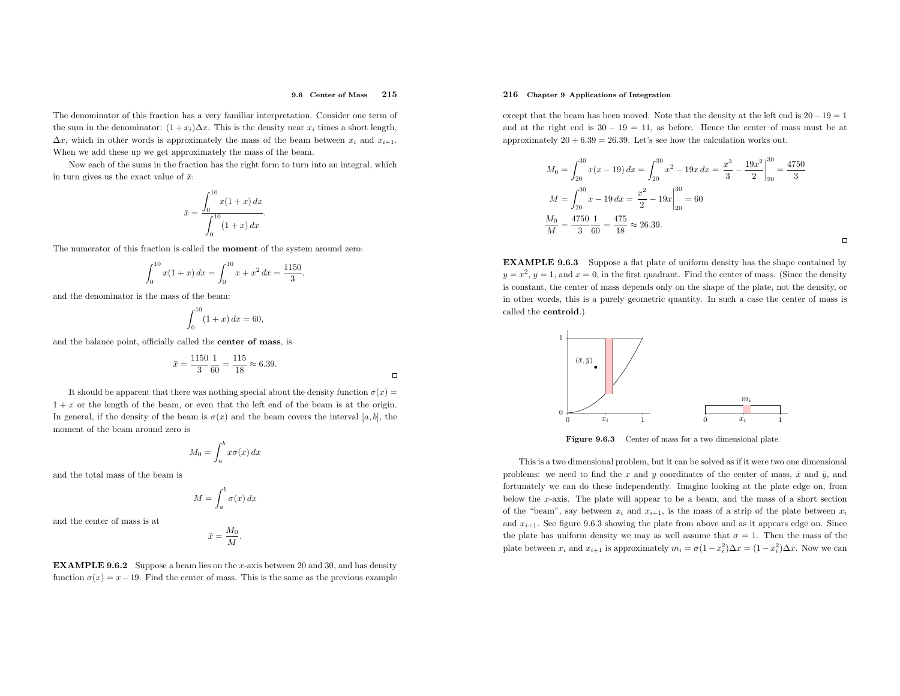$\Box$ 

The denominator of this fraction has <sup>a</sup> very familiar interpretation. Consider one term of the sum in the denominator:  $(1+x_i)\Delta x$ . This is the density near  $x_i$  times a short length,  $\Delta x$ , which in other words is approximately the mass of the beam between  $x_i$  and  $x_{i+1}$ . When we add these up we get approximately the mass of the beam.

Now each of the sums in the fraction has the right form to turn into an integral, whichin turn gives us the exact value of  $\bar{x}$ :

$$
\bar{x} = \frac{\int_0^{10} x(1+x) \, dx}{\int_0^{10} (1+x) \, dx}.
$$

The numerator of this fraction is called the moment of the system around zero:

$$
\int_0^{10} x(1+x) \, dx = \int_0^{10} x + x^2 \, dx = \frac{1150}{3},
$$

and the denominator is the mass of the beam:

$$
\int_0^{10} (1+x) \, dx = 60,
$$

and the balance point, officially called the center of mass, is

$$
\bar{x} = \frac{1150}{3} \frac{1}{60} = \frac{115}{18} \approx 6.39.
$$

It should be apparent that there was nothing special about the density function  $\sigma(x) =$  $1 + x$  or the length of the beam, or even that the left end of the beam is at the origin. In general, if the density of the beam is  $\sigma(x)$  and the beam covers the interval [a, b], the moment of the beam around zero is

$$
M_0 = \int_a^b x \sigma(x) \, dx
$$

and the total mass of the beam is

$$
M = \int_{a}^{b} \sigma(x) \, dx
$$

and the center of mass is at

$$
\bar{x}=\frac{M_0}{M}
$$

**EXAMPLE 9.6.2** Suppose a beam lies on the x-axis between 20 and 30, and has density function  $\sigma(x) = x - 19$ . Find the center of mass. This is the same as the previous example

# 216 Chapter <sup>9</sup> Applications of Integration

except that the beam has been moved. Note that the density at the left end is  $20-19=1$ and at the right end is  $30 - 19 = 11$ , as before. Hence the center of mass must be at approximately  $20 + 6.39 = 26.39$ . Let's see how the calculation works out.

$$
M_0 = \int_{20}^{30} x(x - 19) \, dx = \int_{20}^{30} x^2 - 19x \, dx = \left. \frac{x^3}{3} - \frac{19x^2}{2} \right|_{20}^{30} = \frac{4750}{3}
$$
\n
$$
M = \int_{20}^{30} x - 19 \, dx = \left. \frac{x^2}{2} - 19x \right|_{20}^{30} = 60
$$
\n
$$
\frac{M_0}{M} = \frac{4750}{3} \frac{1}{60} = \frac{475}{18} \approx 26.39.
$$

 $\Box$ 

EXAMPLE 9.6.3 Suppose <sup>a</sup> flat <sup>p</sup>late of uniform density has the shape contained by  $y = x^2$ ,  $y = 1$ , and  $x = 0$ , in the first quadrant. Find the center of mass. (Since the density is constant, the center of mass depends only on the shape of the <sup>p</sup>late, not the density, or in other words, this is <sup>a</sup> purely geometric quantity. In such <sup>a</sup> case the center of mass is called the centroid.)



Figure 9.6.3 Center of mass for a two dimensional plate.

This is <sup>a</sup> two dimensional problem, but it can be solved as if it were two one dimensional problems: we need to find the x and y coordinates of the center of mass,  $\bar{x}$  and  $\bar{y}$ , and fortunately we can do these independently. Imagine looking at the <sup>p</sup>late edge on, from below the <sup>x</sup>-axis. The <sup>p</sup>late will appear to be <sup>a</sup> beam, and the mass of <sup>a</sup> short sectionof the "beam", say between  $x_i$  and  $x_{i+1}$ , is the mass of a strip of the plate between  $x_i$ and  $x_{i+1}$ . See figure 9.6.3 showing the plate from above and as it appears edge on. Since the plate has uniform density we may as well assume that  $\sigma = 1$ . Then the mass of the plate between  $x_i$  and  $x_{i+1}$  is approximately  $m_i = \sigma(1 - x_i^2) \Delta x = (1 - x_i^2) \Delta x$ . Now we can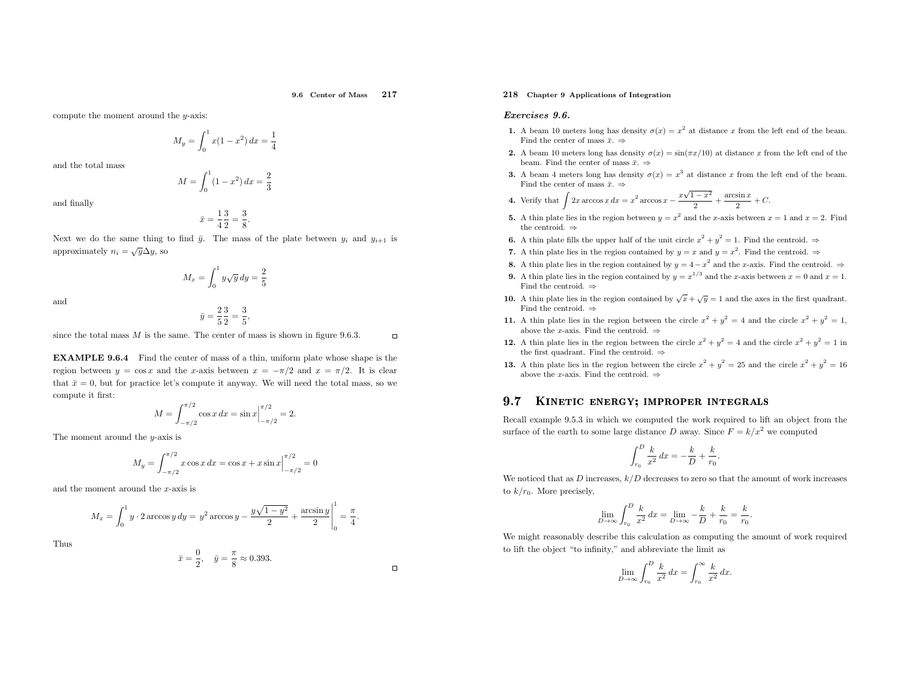9.6 Center of Mass <sup>217</sup>

compute the moment around the <sup>y</sup>-axis:

$$
M_y = \int_0^1 x(1 - x^2) \, dx = \frac{1}{4}
$$

and the total mass

$$
M = \int_0^1 (1 - x^2) \, dx = \frac{2}{3}
$$

and finally

$$
\bar{x} = \frac{1}{4} \frac{3}{2} = \frac{3}{8}
$$

Next we do the same thing to find  $\bar{y}$ . The mass of the plate between  $y_i$  and  $y_{i+1}$  is approximately  $n_i = \sqrt{y} \Delta y$ , so

 $M_x = \int_0^1 y\sqrt{y} dy = \frac{2}{5}$ 

and

$$
\bar{y} = \frac{2}{5} \frac{3}{2} = \frac{3}{5},
$$

since the total mass  $M$  is the same. The center of mass is shown in figure 9.6.3.

EXAMPLE 9.6.4 Find the center of mass of <sup>a</sup> thin, uniform <sup>p</sup>late whose shape is the region between  $y = \cos x$  and the x-axis between  $x = -\pi/2$  and  $x = \pi/2$ . It is clear that  $\bar{x} = 0$ , but for practice let's compute it anyway. We will need the total mass, so we compute it first:

$$
M = \int_{-\pi/2}^{\pi/2} \cos x \, dx = \sin x \Big|_{-\pi/2}^{\pi/2} = 2.
$$

The moment around the <sup>y</sup>-axis is

$$
M_y = \int_{-\pi/2}^{\pi/2} x \cos x \, dx = \cos x + x \sin x \Big|_{-\pi/2}^{\pi/2} = 0
$$

and the moment around the <sup>x</sup>-axis is

$$
M_x = \int_0^1 y \cdot 2 \arccos y \, dy = y^2 \arccos y - \frac{y\sqrt{1-y^2}}{2} + \frac{\arcsin y}{2} \bigg|_0^1 = \frac{\pi}{4}.
$$

Thus

$$
\bar{x} = \frac{0}{2}, \quad \bar{y} = \frac{\pi}{8} \approx 0.393.
$$

# 218 Chapter <sup>9</sup> Applications of Integration

#### Exercises 9.6.

- 1. A beam 10 meters long has density  $\sigma(x) = x^2$  at distance x from the left end of the beam. Find the center of mass  $\bar{x}$ .  $\Rightarrow$
- 2. A beam 10 meters long has density  $\sigma(x) = \sin(\pi x/10)$  at distance x from the left end of the beam. Find the center of mass  $\bar{x}$ .  $\Rightarrow$
- 3. A beam 4 meters long has density  $\sigma(x) = x^3$  at distance x from the left end of the beam. Find the center of mass  $\bar{x}$ .  $\Rightarrow$

4. Verify that 
$$
\int 2x \arccos x \, dx = x^2 \arccos x - \frac{x\sqrt{1-x^2}}{2} + \frac{\arcsin x}{2} + C.
$$

- 5. A thin plate lies in the region between  $y = x^2$  and the x-axis between  $x = 1$  and  $x = 2$ . Find the centroid.  $\Rightarrow$
- **6.** A thin plate fills the upper half of the unit circle  $x^2 + y^2 = 1$ . Find the centroid.  $\Rightarrow$
- 7. A thin plate lies in the region contained by  $y = x$  and  $y = x^2$ . Find the centroid.  $\Rightarrow$
- 8. A thin plate lies in the region contained by  $y = 4 x^2$  and the x-axis. Find the centroid. ⇒
- **9.** A thin plate lies in the region contained by  $y = x^{1/3}$  and the x-axis between  $x = 0$  and  $x = 1$ . Find the centroid.  $\Rightarrow$
- 10. A thin plate lies in the region contained by  $\sqrt{x} + \sqrt{y} = 1$  and the axes in the first quadrant. Find the centroid.  $\Rightarrow$
- 11. A thin plate lies in the region between the circle  $x^2 + y^2 = 4$  and the circle  $x^2 + y^2 = 1$ , above the x-axis. Find the centroid.  $\Rightarrow$
- **12.** A thin plate lies in the region between the circle  $x^2 + y^2 = 4$  and the circle  $x^2 + y^2 = 1$  in the first quadrant. Find the centroid.  $\Rightarrow$
- **13.** A thin plate lies in the region between the circle  $x^2 + y^2 = 25$  and the circle  $x^2 + y^2 = 16$ above the x-axis. Find the centroid.  $\Rightarrow$

#### 9.77 KINETIC ENERGY; IMPROPER INTEGRALS

Recall example 9.5.3 in which we computed the work required to lift an object from the surface of the earth to some large distance  $D$  away. Since  $F = k/x^2$  we computed

$$
\int_{r_0}^{D} \frac{k}{x^2} \, dx = -\frac{k}{D} + \frac{k}{r_0}
$$

We noticed that as  $D$  increases,  $k/D$  decreases to zero so that the amount of work increases to  $k/r_0$ . More precisely,

$$
\lim_{D \to \infty} \int_{r_0}^{D} \frac{k}{x^2} dx = \lim_{D \to \infty} -\frac{k}{D} + \frac{k}{r_0} = \frac{k}{r_0}
$$

We might reasonably describe this calculation as computing the amount of work requiredto lift the object "to infinity," and abbreviate the limit as

$$
\lim_{D \to \infty} \int_{r_0}^D \frac{k}{x^2} dx = \int_{r_0}^\infty \frac{k}{x^2} dx.
$$

$$
\overline{a}
$$

 $\Box$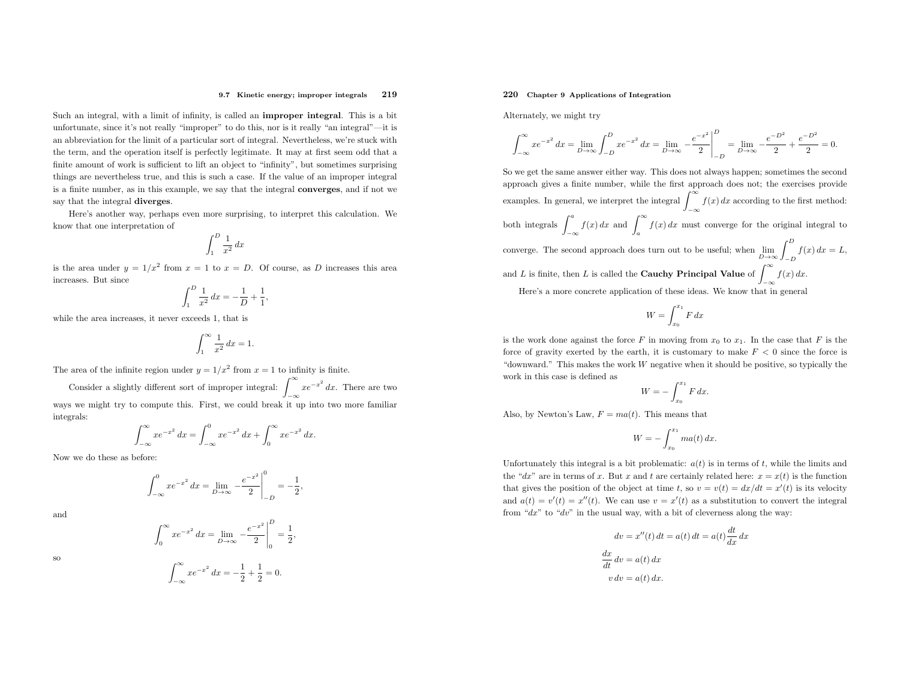#### 9.7 Kinetic energy; improper integrals <sup>219</sup>

Such an integral, with <sup>a</sup> limit of infinity, is called an improper integral. This is <sup>a</sup> bit unfortunate, since it's not really "improper" to do this, nor is it really "an integral"—it is an abbreviation for the limit of <sup>a</sup> particular sort of integral. Nevertheless, we're stuck with the term, and the operation itself is perfectly legitimate. It may at first seem odd that <sup>a</sup> finite amount of work is sufficient to lift an object to "infinity", but sometimes surprising things are nevertheless true, and this is such <sup>a</sup> case. If the value of an improper integral is <sup>a</sup> finite number, as in this example, we say that the integral converges, and if not we say that the integral diverges.

Here's another way, perhaps even more surprising, to interpret this calculation. We know that one interpretation of

$$
\int_1^D \frac{1}{x^2} \, dx
$$

is the area under  $y = 1/x^2$  from  $x = 1$  to  $x = D$ . Of course, as D increases this area increases. But since

,

$$
\int_{1}^{D} \frac{1}{x^2} \, dx = -\frac{1}{D} + \frac{1}{1}
$$

while the area increases, it never exceeds 1, that is

$$
\int_{1}^{\infty} \frac{1}{x^2} \, dx = 1.
$$

The area of the infinite region under  $y = 1/x^2$  from  $x = 1$  to infinity is finite.

Consider a slightly different sort of improper integral:  $\int_{-\infty}^{\infty} xe^{-x^2} dx$ . There are two −∞ ways we might try to compute this. First, we could break it up into two more familiar integrals:

$$
\int_{-\infty}^{\infty} xe^{-x^2} dx = \int_{-\infty}^{0} xe^{-x^2} dx + \int_{0}^{\infty} xe^{-x^2} dx.
$$

Now we do these as before:

$$
\int_{-\infty}^{0} xe^{-x^2} dx = \lim_{D \to \infty} -\frac{e^{-x^2}}{2} \bigg|_{-D}^{0} = -\frac{1}{2},
$$

and



#### so

 $\int_{-\infty}^{\infty} xe^{-x^2} dx = -\frac{1}{2} + \frac{1}{2} = 0.$ −∞

# 220 Chapter <sup>9</sup> Applications of Integration

Alternately, we might try

$$
\int_{-\infty}^{\infty} x e^{-x^2} dx = \lim_{D \to \infty} \int_{-D}^{D} x e^{-x^2} dx = \lim_{D \to \infty} \left. -\frac{e^{-x^2}}{2} \right|_{-D}^{D} = \lim_{D \to \infty} \left. -\frac{e^{-D^2}}{2} + \frac{e^{-D^2}}{2} \right| = 0.
$$

So we get the same answer either way. This does not always happen; sometimes the second approac<sup>h</sup> <sup>g</sup>ives <sup>a</sup> finite number, while the first approac<sup>h</sup> does not; the exercises provide examples. In general, we interpret the integral  $\int_{-\infty}^{\infty} f(x) dx$  according to the first method: −∞both integrals  $\int_{-\infty}^{a} f(x) dx$  and  $\int_{a}^{\infty} f(x) dx$  must converge for the original integral to converge. The second approach does turn out to be useful; when  $\lim_{D\to\infty}\int_{-D}^D f(x)\,dx =$ and L is finite, then L is called the **Cauchy Principal Value** of  $\int_{-\infty}^{\infty} f(x) dx$ .  $= L$ , −∞Here's <sup>a</sup> more concrete application of these ideas. We know that in genera<sup>l</sup>

$$
W = \int_{x_0}^{x_1} F \, dx
$$

is the work done against the force  $F$  in moving from  $x_0$  to  $x_1$ . In the case that  $F$  is the force of gravity exerted by the earth, it is customary to make  $F < 0$  since the force is "downward." This makes the work  $W$  negative when it should be positive, so typically the work in this case is defined as

$$
W = -\int_{x_0}^{x_1} F \, dx.
$$

Also, by Newton's Law,  $F= ma(t)$ . This means that

$$
W = -\int_{x_0}^{x_1} ma(t) \, dx.
$$

Unfortunately this integral is a bit problematic:  $a(t)$  is in terms of t, while the limits and the "dx" are in terms of x. But x and t are certainly related here:  $x = x(t)$  is the function that gives the position of the object at time t, so  $v = v(t) = dx/dt = x'(t)$  is its velocity and  $a(t) = v'(t) = x''(t)$ . We can use  $v = x'(t)$  as a substitution to convert the integral from " $dx$ " to " $dv$ " in the usual way, with a bit of cleverness along the way:

$$
dv = x''(t) dt = a(t) dt = a(t) \frac{dt}{dx} dx
$$

$$
\frac{dx}{dt} dv = a(t) dx
$$

$$
v dv = a(t) dx.
$$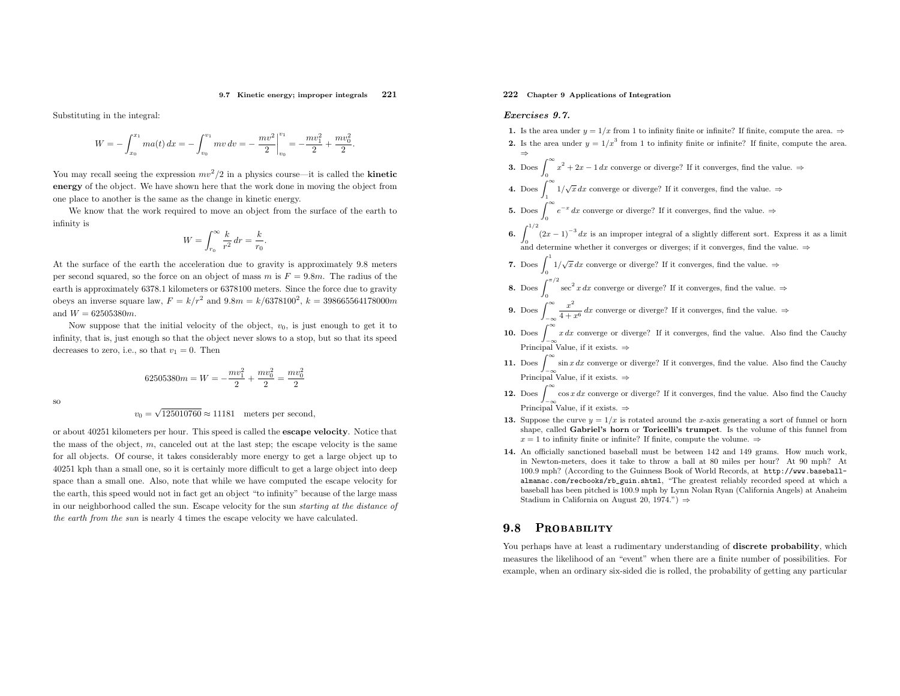#### 9.7 Kinetic energy; improper integrals 221

Substituting in the integral:

$$
W = -\int_{x_0}^{x_1} ma(t) dx = -\int_{v_0}^{v_1} mv dv = -\frac{mv^2}{2}\Big|_{v_0}^{v_1} = -\frac{mv_1^2}{2} + \frac{mv_0^2}{2}.
$$

You may recall seeing the expression  $mv^2/2$  in a physics course—it is called the **kinetic**  energy of the object. We have shown here that the work done in moving the object fromone <sup>p</sup>lace to another is the same as the change in kinetic energy.

We know that the work required to move an object from the surface of the earth to infinity is

$$
W = \int_{r_0}^{\infty} \frac{k}{r^2} dr = \frac{k}{r_0}
$$

At the surface of the earth the acceleration due to gravity is approximately 9.8 meters per second squared, so the force on an object of mass  $m$  is  $F = 9.8m$ . The radius of the earth is approximately 6378.1 kilometers or <sup>6378100</sup> meters. Since the force due to gravityobeys an inverse square law,  $F = k/r^2$  and  $9.8m = k/6378100^2$ ,  $k = 398665564178000m$ and  $W = 62505380m$ .

Now suppose that the initial velocity of the object,  $v_0$ , is just enough to get it to infinity, that is, just enoug<sup>h</sup> so that the object never slows to <sup>a</sup> stop, but so that its speeddecreases to zero, i.e., so that  $v_1 = 0$ . Then

$$
62505380m = W = -\frac{mv_1^2}{2} + \frac{mv_0^2}{2} = \frac{mv_0^2}{2}
$$

so

 $v_0 = \sqrt{125010760} \approx 11181$  meters per second,

or about <sup>40251</sup> kilometers per hour. This speed is called the escape velocity. Notice that the mass of the object, <sup>m</sup>, canceled out at the last step; the escape velocity is the same for all objects. Of course, it takes considerably more energy to get <sup>a</sup> large object up to <sup>40251</sup> kph than <sup>a</sup> small one, so it is certainly more difficult to get <sup>a</sup> large object into deep space than <sup>a</sup> small one. Also, note that while we have computed the escape velocity for the earth, this speed would not in fact get an object "to infinity" because of the large mass in our neighborhood called the sun. Escape velocity for the sun starting at the distance of the earth from the sun is nearly <sup>4</sup> times the escape velocity we have calculated.

# 222 Chapter <sup>9</sup> Applications of Integration

# Exercises 9.7.

1. Is the area under  $y = 1/x$  from 1 to infinity finite or infinite? If finite, compute the area.  $\Rightarrow$ **2.** Is the area under  $y = 1/x^3$  from 1 to infinity finite or infinite? If finite, compute the area. ⇒**3.** Does  $\int_0^\infty x^2 + 2x - 1 dx$  converge or diverge? If it converges, find the value.  $\Rightarrow$ 4. Does  $\int_1^{\infty} 1/\sqrt{x} dx$  converge or diverge? If it converges, find the value.  $\Rightarrow$ **5.** Does  $\int_0^\infty e^{-x} dx$  converge or diverge? If it converges, find the value.  $\Rightarrow$ 6.  $\int_{0}^{1/2} (2$  $(2x-1)^{-3} dx$  is an improper integral of a slightly different sort. Express it as a limit and determine whether it converges or diverges; if it converges, find the value.  $\Rightarrow$ 7. Does  $\int_0^1 1/\sqrt{x} dx$  converge or diverge? If it converges, find the value.  $\Rightarrow$ **8.** Does  $\int_0^{\pi/2} \sec^2 x \, dx$  converge or diverge? If it converges, find the value.  $\Rightarrow$ **9.** Does  $\int_{-\infty}^{\infty} \frac{x}{4+}$ −∞10. Does  $\int_{-\infty}^{\infty} x \, dx$  converge or diverge? If it converges, find the value. Also find the Cauchy  $rac{x^2}{4+x^6}$  dx converge or diverge? If it converges, find the value.  $\Rightarrow$ Principal Value, if it exists.  $\Rightarrow$ 11. Does  $\int_{-\infty}^{\infty} \sin x \, dx$  converge or diverge? If it converges, find the value. Also find the Cauchy  $J-\infty$ <br>Principal Value, if it exists. ⇒

- **12.** Does  $\int_{-\infty}^{\infty} \cos x \, dx$  converge or diverge? If it converges, find the value. Also find the Cauchy Principal Value, if it exists.  $\Rightarrow$
- **13.** Suppose the curve  $y = 1/x$  is rotated around the x-axis generating a sort of funnel or horn shape, called Gabriel's horn or Toricelli's trumpet. Is the volume of this funnel from $x = 1$  to infinity finite or infinite? If finite, compute the volume.  $\Rightarrow$
- 14. An officially sanctioned baseball must be between <sup>142</sup> and <sup>149</sup> grams. How much work, in Newton-meters, does it take to throw <sup>a</sup> ball at <sup>80</sup> miles per hour? At <sup>90</sup> mph? At 100.9 mph? (According to the Guinness Book of World Records, at http://www.baseballalmanac.com/recbooks/rb\_guin.shtml, "The greatest reliably recorded speed at which <sup>a</sup> baseball has been <sup>p</sup>itched is 100.9 mp<sup>h</sup> by Lynn Nolan Ryan (California Angels) at AnaheimStadium in California on August 20, 1974.")  $\Rightarrow$

#### 9.8PROBABILITY

You perhaps have at least a rudimentary understanding of **discrete probability**, which measures the likelihood of an "event" when there are <sup>a</sup> finite number of possibilities. For example, when an ordinary six-sided die is rolled, the probability of getting any particular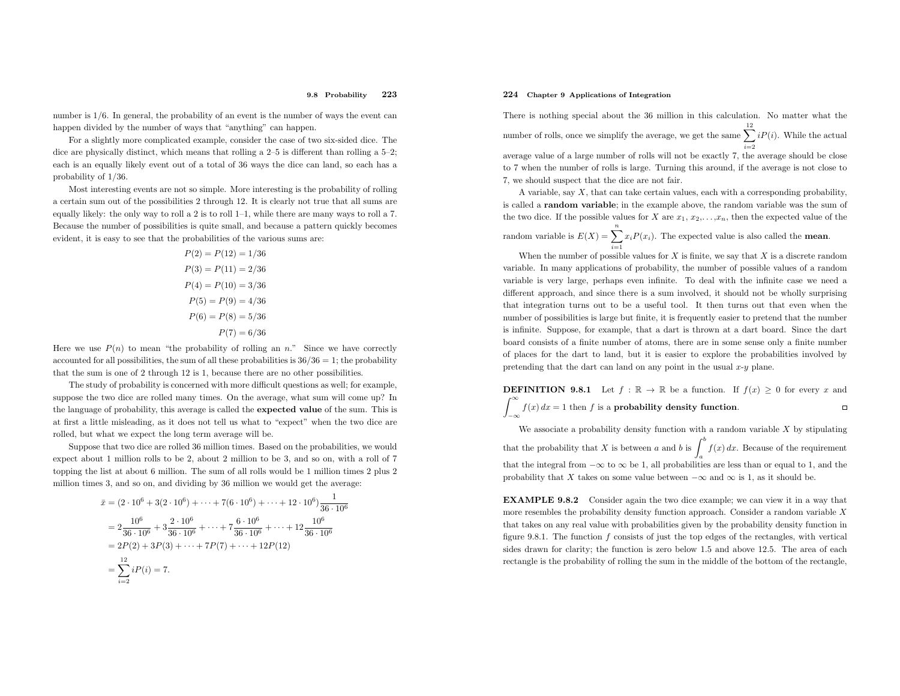number is  $1/6$ . In general, the probability of an event is the number of ways the event can happen divided by the number of ways that "anything" can happen.

For <sup>a</sup> slightly more complicated example, consider the case of two six-sided dice. The dice are <sup>p</sup>hysically distinct, which means that rolling <sup>a</sup> 2–5 is different than rolling <sup>a</sup> 5–2; each is an equally likely event out of <sup>a</sup> total of <sup>36</sup> ways the dice can land, so each has <sup>a</sup> probability of <sup>1</sup>/36.

Most interesting events are not so simple. More interesting is the probability of rolling <sup>a</sup> certain sum out of the possibilities <sup>2</sup> through 12. It is clearly not true that all sums are equally likely: the only way to roll a 2 is to roll  $1-1$ , while there are many ways to roll a 7. Because the number of possibilities is quite small, and because <sup>a</sup> pattern quickly becomes evident, it is easy to see that the probabilities of the various sums are:

$$
P(2) = P(12) = 1/36
$$
  
\n
$$
P(3) = P(11) = 2/36
$$
  
\n
$$
P(4) = P(10) = 3/36
$$
  
\n
$$
P(5) = P(9) = 4/36
$$
  
\n
$$
P(6) = P(8) = 5/36
$$
  
\n
$$
P(7) = 6/36
$$

Here we use  $P(n)$  to mean "the probability of rolling an n." Since we have correctly accounted for all possibilities, the sum of all these probabilities is  $36/36 = 1$ ; the probability that the sum is one of <sup>2</sup> through <sup>12</sup> is 1, because there are no other possibilities.

The study of probability is concerned with more difficult questions as well; for example, suppose the two dice are rolled many times. On the average, what sum will come up? In the language of probability, this average is called the expected value of the sum. This is at first <sup>a</sup> little misleading, as it does not tell us what to "expect" when the two dice are rolled, but what we expect the long term average will be.

Suppose that two dice are rolled <sup>36</sup> million times. Based on the probabilities, we would expect about <sup>1</sup> million rolls to be 2, about <sup>2</sup> million to be 3, and so on, with <sup>a</sup> roll of <sup>7</sup> topping the list at about <sup>6</sup> million. The sum of all rolls would be <sup>1</sup> million times <sup>2</sup> <sup>p</sup>lus <sup>2</sup> million times 3, and so on, and dividing by <sup>36</sup> million we would get the average:

$$
\bar{x} = (2 \cdot 10^6 + 3(2 \cdot 10^6) + \dots + 7(6 \cdot 10^6) + \dots + 12 \cdot 10^6) \frac{1}{36 \cdot 10^6}
$$
  
=  $2 \frac{10^6}{36 \cdot 10^6} + 3 \frac{2 \cdot 10^6}{36 \cdot 10^6} + \dots + 7 \frac{6 \cdot 10^6}{36 \cdot 10^6} + \dots + 12 \frac{10^6}{36 \cdot 10^6}$   
=  $2P(2) + 3P(3) + \dots + 7P(7) + \dots + 12P(12)$   
=  $\sum_{i=2}^{12} iP(i) = 7.$ 

# 224 Chapter <sup>9</sup> Applications of Integration

−∞

There is nothing special about the <sup>36</sup> million in this calculation. No matter what the number of rolls, once we simplify the average, we get the same  $\sum$ 12  $\sum_{i=2}^{ } iP(i)$ . While the actual average value of <sup>a</sup> large number of rolls will not be exactly 7, the average should be close to <sup>7</sup> when the number of rolls is large. Turning this around, if the average is not close to 7, we should suspect that the dice are not fair.

A variable, say  $X$ , that can take certain values, each with a corresponding probability, is called <sup>a</sup> random variable; in the example above, the random variable was the sum of the two dice. If the possible values for X are  $x_1, x_2, \ldots, x_n$ , then the expected value of the

random variable is  $E(X) = \sum_{i=1}^{n} x_i P(x_i)$ . The expected value is also called the **mean**.

When the number of possible values for  $X$  is finite, we say that  $X$  is a discrete random variable. In many applications of probability, the number of possible values of <sup>a</sup> random variable is very large, perhaps even infinite. To deal with the infinite case we need <sup>a</sup> different approach, and since there is <sup>a</sup> sum involved, it should not be wholly surprising that integration turns out to be <sup>a</sup> useful tool. It then turns out that even when the number of possibilities is large but finite, it is frequently easier to pretend that the number is infinite. Suppose, for example, that <sup>a</sup> dart is thrown at <sup>a</sup> dart board. Since the dart board consists of <sup>a</sup> finite number of atoms, there are in some sense only <sup>a</sup> finite number of <sup>p</sup>laces for the dart to land, but it is easier to explore the probabilities involved bypretending that the dart can land on any point in the usual  $x-y$  plane.

**DEFINITION 9.8.1** Let  $f : \mathbb{R} \to \mathbb{R}$  be a function. If  $f(x) \geq 0$  for every x and  $\int_{-\infty}^{\infty} f(x) dx = 1$  then f is a **probability density function**.  $\Box$ 

We associate a probability density function with a random variable  $X$  by stipulating that the probability that X is between a and b is  $\int_a^b f(x) dx$ . Because of the requirement athat the integral from  $-\infty$  to  $\infty$  be 1, all probabilities are less than or equal to 1, and the probability that X takes on some value between  $-\infty$  and  $\infty$  is 1, as it should be.

EXAMPLE 9.8.2 Consider again the two dice example; we can view it in <sup>a</sup> way that more resembles the probability density function approach. Consider a random variable X that takes on any real value with probabilities <sup>g</sup>iven by the probability density function infigure 9.8.1. The function  $f$  consists of just the top edges of the rectangles, with vertical sides drawn for clarity; the function is zero below <sup>1</sup>.<sup>5</sup> and above <sup>12</sup>.5. The area of eachrectangle is the probability of rolling the sum in the middle of the bottom of the rectangle,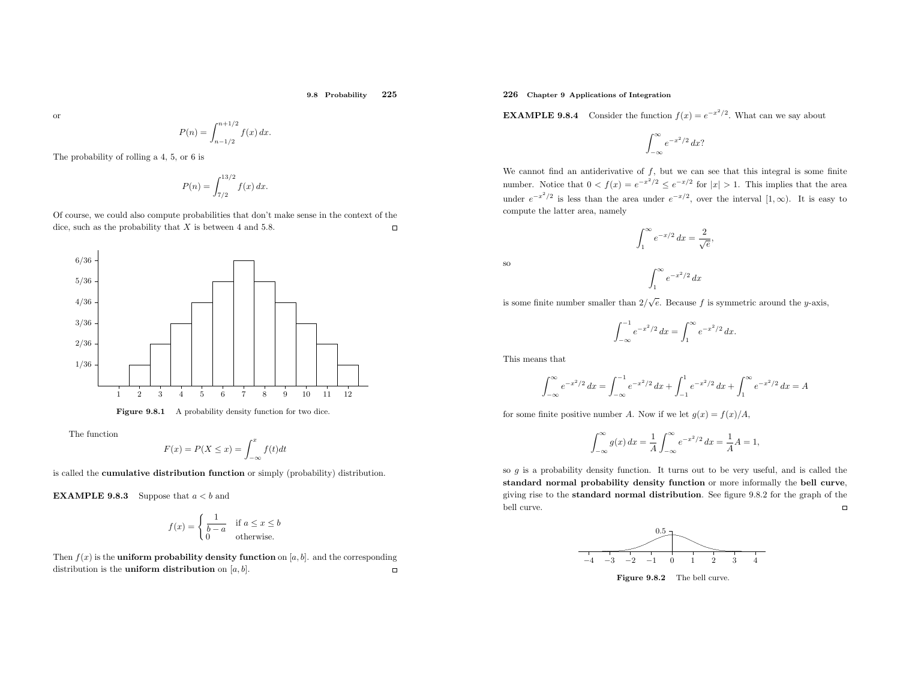or

$$
P(n) = \int_{n-1/2}^{n+1/2} f(x) \, dx.
$$

The probability of rolling <sup>a</sup> 4, 5, or <sup>6</sup> is

$$
P(n) = \int_{7/2}^{13/2} f(x) \, dx.
$$

Of course, we could also compute probabilities that don't make sense in the context of the  $\Box$ dice, such as the probability that  $X$  is between 4 and 5.8.



**Figure 9.8.1** A probability density function for two dice.

The function

$$
F(x) = P(X \le x) = \int_{-\infty}^{x} f(t)dt
$$

is called the cumulative distribution function or simply (probability) distribution.

**EXAMPLE 9.8.3** Suppose that  $a < b$  and

$$
f(x) = \begin{cases} \frac{1}{b-a} & \text{if } a \le x \le b \\ 0 & \text{otherwise.} \end{cases}
$$

Then  $f(x)$  is the **uniform probability density function** on [a, b]. and the corresponding distribution is the **uniform distribution** on  $[a, b]$ .

# 226 Chapter <sup>9</sup> Applications of Integration

**EXAMPLE 9.8.4** Consider the function  $f(x) = e^{-x^2/2}$ . What can we say about

$$
\int_{-\infty}^{\infty} e^{-x^2/2} \, dx?
$$

We cannot find an antiderivative of  $f$ , but we can see that this integral is some finite number. Notice that  $0 < f(x) = e^{-x^2/2} \le e^{-x/2}$  for  $|x| > 1$ . This implies that the area under  $e^{-x^2/2}$  is less than the area under  $e^{-x/2}$ , over the interval  $[1,\infty)$ . It is easy to compute the latter area, namely

$$
\int_1^\infty e^{-x/2} \, dx = \frac{2}{\sqrt{e}},
$$

 $\int_1^\infty e^{-x^2/2} dx$ 

so

is some finite number smaller than  $2/\sqrt{e}$ . Because f is symmetric around the y-axis,

$$
\int_{-\infty}^{-1} e^{-x^2/2} \, dx = \int_{1}^{\infty} e^{-x^2/2} \, dx.
$$

This means that

$$
\int_{-\infty}^{\infty} e^{-x^2/2} dx = \int_{-\infty}^{-1} e^{-x^2/2} dx + \int_{-1}^{1} e^{-x^2/2} dx + \int_{1}^{\infty} e^{-x^2/2} dx = A
$$

for some finite positive number A. Now if we let  $g(x) = f(x)/A$ ,

$$
\int_{-\infty}^{\infty} g(x) dx = \frac{1}{A} \int_{-\infty}^{\infty} e^{-x^2/2} dx = \frac{1}{A} A = 1,
$$

so  $g$  is a probability density function. It turns out to be very useful, and is called the standard normal probability density function or more informally the bell curve, <sup>g</sup>iving rise to the standard normal distribution. See figure 9.8.2 for the grap<sup>h</sup> of the bell curve.  $\Box$ 



Figure 9.8.2 The bell curve.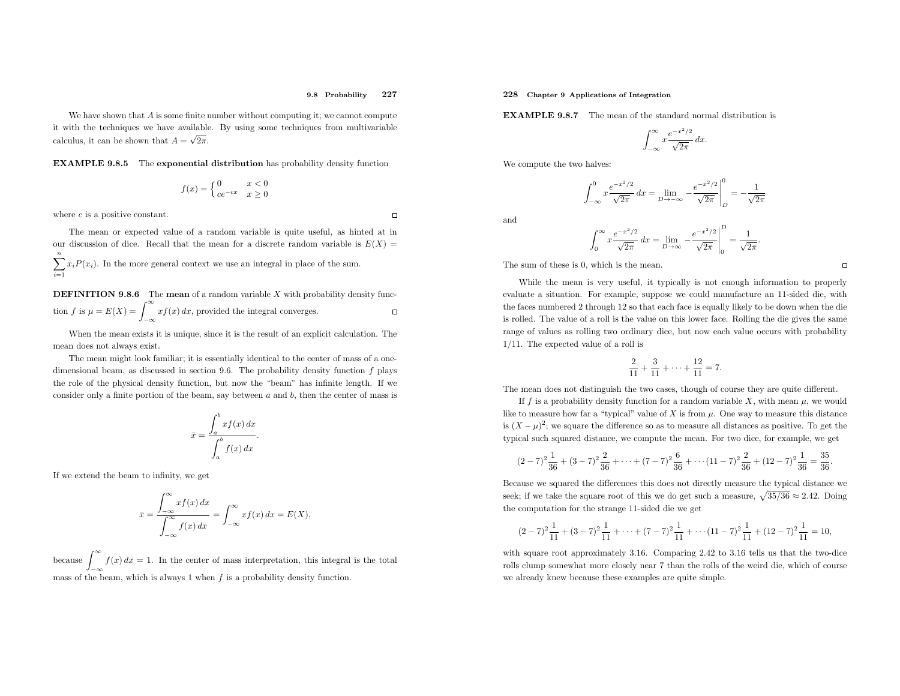We have shown that A is some finite number without computing it; we cannot compute  $\Lambda$ it with the techniques we have available. By using some techniques from multivariable calculus, it can be shown that  $A = \sqrt{2\pi}$ .

EXAMPLE 9.8.5 The exponential distribution has probability density function

$$
f(x) = \begin{cases} 0 & x < 0\\ ce^{-cx} & x \ge 0 \end{cases}
$$

where  $c$  is a positive constant.

 $\Box$ 

The mean or expected value of <sup>a</sup> random variable is quite useful, as hinted at inour discussion of dice. Recall that the mean for a discrete random variable is  $E(X) =$  $\sum$  $\frac{n}{2}$  $\sum_{i=1} x_i P(x_i)$ . In the more general context we use an integral in place of the sum.

**DEFINITION 9.8.6** The **mean** of a random variable X with probability density function f is  $\mu = E(X) = \int_{-\infty}^{\infty} x f(x) dx$ , provided the integral converges.  $\Box$ 

When the mean exists it is unique, since it is the result of an explicit calculation. The mean does not always exist.

The mean might look familiar; it is essentially identical to the center of mass of <sup>a</sup> onedimensional beam, as discussed in section 9.6. The probability density function f <sup>p</sup>lays the role of the <sup>p</sup>hysical density function, but now the "beam" has infinite length. If we consider only a finite portion of the beam, say between  $a$  and  $b$ , then the center of mass is

$$
\bar{x} = \frac{\int_a^b x f(x) \, dx}{\int_a^b f(x) \, dx}.
$$

If we extend the beam to infinity, we get

$$
\bar{x} = \frac{\int_{-\infty}^{\infty} x f(x) dx}{\int_{-\infty}^{\infty} f(x) dx} = \int_{-\infty}^{\infty} x f(x) dx = E(X),
$$

because  $\int_{-\infty}^{\infty} f(x) dx = 1$ . In the center of mass interpretation, this integral is the total mass of the beam which is always 1 when f is a probability density function mass of the beam, which is always 1 when  $f$  is a probability density function.

### 228 Chapter <sup>9</sup> Applications of Integration

**EXAMPLE 9.8.7** The mean of the standard normal distribution is

$$
\int_{-\infty}^{\infty} x \frac{e^{-x^2/2}}{\sqrt{2\pi}} dx.
$$

We compute the two halves:

$$
\int_{-\infty}^{0} x \frac{e^{-x^2/2}}{\sqrt{2\pi}} dx = \lim_{D \to -\infty} -\frac{e^{-x^2/2}}{\sqrt{2\pi}} \bigg|_{D}^{0} = -\frac{1}{\sqrt{2\pi}}
$$

and

$$
\int_0^\infty x \frac{e^{-x^2/2}}{\sqrt{2\pi}} dx = \lim_{D \to \infty} -\frac{e^{-x^2/2}}{\sqrt{2\pi}} \Big|_0^D = \frac{1}{\sqrt{2\pi}}.
$$

The sum of these is 0, which is the mean.

While the mean is very useful, it typically is not enoug<sup>h</sup> information to properly evaluate <sup>a</sup> situation. For example, suppose we could manufacture an 11-sided die, with the faces numbered <sup>2</sup> through <sup>12</sup> so that each face is equally likely to be down when the die is rolled. The value of <sup>a</sup> roll is the value on this lower face. Rolling the die <sup>g</sup>ives the same range of values as rolling two ordinary dice, but now each value occurs with probability<sup>1</sup>/11. The expected value of <sup>a</sup> roll is

$$
\frac{2}{11} + \frac{3}{11} + \dots + \frac{12}{11} = 7.
$$

The mean does not distinguish the two cases, though of course they are quite different.

If f is a probability density function for a random variable X, with mean  $\mu$ , we would like to measure how far a "typical" value of X is from  $\mu$ . One way to measure this distance is  $(X - \mu)^2$ ; we square the difference so as to measure all distances as positive. To get the typical such squared distance, we compute the mean. For two dice, for example, we get

$$
(2-7)^2 \frac{1}{36} + (3-7)^2 \frac{2}{36} + \dots + (7-7)^2 \frac{6}{36} + \dots + (11-7)^2 \frac{2}{36} + (12-7)^2 \frac{1}{36} = \frac{35}{36}.
$$

Because we squared the differences this does not directly measure the typical distance we seek; if we take the square root of this we do get such a measure,  $\sqrt{35/36} \approx 2.42$ . Doing the computation for the strange 11-sided die we get

$$
(2-7)^2 \frac{1}{11} + (3-7)^2 \frac{1}{11} + \dots + (7-7)^2 \frac{1}{11} + \dots + (11-7)^2 \frac{1}{11} + (12-7)^2 \frac{1}{11} = 10,
$$

with square root approximately 3.16. Comparing 2.42 to 3.16 tells us that the two-dice rolls clump somewhat more closely near <sup>7</sup> than the rolls of the weird die, which of course we already knew because these examples are quite simple.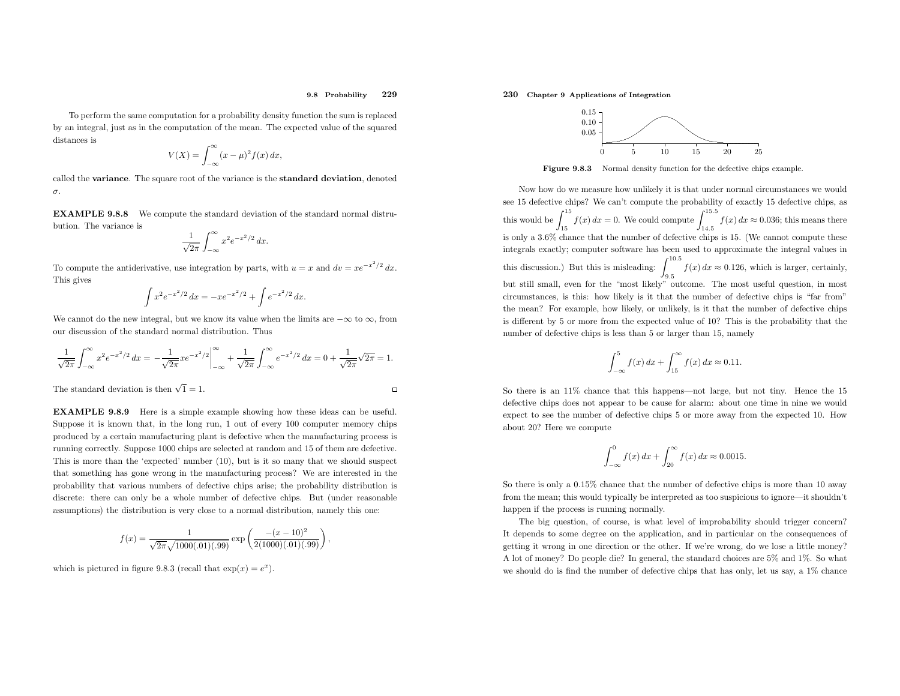To perform the same computation for <sup>a</sup> probability density function the sum is replaced by an integral, just as in the computation of the mean. The expected value of the squareddistances is

$$
V(X) = \int_{-\infty}^{\infty} (x - \mu)^2 f(x) \, dx,
$$

 called the variance. The square root of the variance is the standard deviation, denotedσ.

EXAMPLE 9.8.8 We compute the standard deviation of the standard normal distrubution. The variance is

$$
\frac{1}{\sqrt{2\pi}}\int_{-\infty}^{\infty} x^2 e^{-x^2/2} dx.
$$

To compute the antiderivative, use integration by parts, with  $u = x$  and  $dv = xe^{-x^2/2} dx$ . This <sup>g</sup>ives

$$
\int x^2 e^{-x^2/2} dx = -x e^{-x^2/2} + \int e^{-x^2/2} dx.
$$

We cannot do the new integral, but we know its value when the limits are  $-\infty$  to  $\infty$ , from<br>sur-discussion of the standard narmal distribution. Thus our discussion of the standard normal distribution. Thus

$$
\frac{1}{\sqrt{2\pi}} \int_{-\infty}^{\infty} x^2 e^{-x^2/2} dx = -\frac{1}{\sqrt{2\pi}} x e^{-x^2/2} \Big|_{-\infty}^{\infty} + \frac{1}{\sqrt{2\pi}} \int_{-\infty}^{\infty} e^{-x^2/2} dx = 0 + \frac{1}{\sqrt{2\pi}} \sqrt{2\pi} = 1.
$$
  
The standard deviation is then  $\sqrt{1} = 1$ .

The standard deviation is then  $\sqrt{1} = 1$ .

EXAMPLE 9.8.9 Here is <sup>a</sup> simple example showing how these ideas can be useful. Suppose it is known that, in the long run, <sup>1</sup> out of every <sup>100</sup> computer memory chips produced by <sup>a</sup> certain manufacturing <sup>p</sup>lant is defective when the manufacturing process is running correctly. Suppose <sup>1000</sup> chips are selected at random and <sup>15</sup> of them are defective. This is more than the 'expected' number (10), but is it so many that we should suspect that something has gone wrong in the manufacturing process? We are interested in the probability that various numbers of defective chips arise; the probability distribution is discrete: there can only be <sup>a</sup> whole number of defective chips. But (under reasonable assumptions) the distribution is very close to <sup>a</sup> normal distribution, namely this one:

$$
f(x) = \frac{1}{\sqrt{2\pi}\sqrt{1000(.01)(.99)}} \exp\left(\frac{-(x-10)^2}{2(1000)(.01)(.99)}\right),\,
$$

which is pictured in figure 9.8.3 (recall that  $\exp(x) = e^x$ ).

# 230 Chapter <sup>9</sup> Applications of Integration



Figure 9.8.3 Normal density function for the defective chips example.

Now how do we measure how unlikely it is that under normal circumstances we would see <sup>15</sup> defective chips? We can't compute the probability of exactly <sup>15</sup> defective chips, as this would be  $\int_{15}^{15} f(x) dx = 0$ . We could compute  $\int_{14.5}^{15.5} f(x) dx \approx 0.036$ ; this means there is only <sup>a</sup> <sup>3</sup>.6% chance that the number of defective chips is 15. (We cannot compute these integrals exactly; computer software has been used to approximate the integral values in this discussion.) But this is misleading:  $\int_{9.5}^{10.5} f(x) dx \approx 0.126$ , which is larger, certainly, but still small, even for the "most likely" outcome. The most useful question, in most circumstances, is this: how likely is it that the number of defective chips is "far from" the mean? For example, how likely, or unlikely, is it that the number of defective chips is different by <sup>5</sup> or more from the expected value of 10? This is the probability that the number of defective chips is less than <sup>5</sup> or larger than 15, namely

$$
\int_{-\infty}^{5} f(x) \, dx + \int_{15}^{\infty} f(x) \, dx \approx 0.11.
$$

So there is an 11% chance that this happens—not large, but not tiny. Hence the <sup>15</sup> defective chips does not appear to be cause for alarm: about one time in nine we wouldexpect to see the number of defective chips 5 or more away from the expected 10. How about 20? Here we compute

$$
\int_{-\infty}^{0} f(x) \, dx + \int_{20}^{\infty} f(x) \, dx \approx 0.0015.
$$

So there is only <sup>a</sup> <sup>0</sup>.15% chance that the number of defective chips is more than <sup>10</sup> away from the mean; this would typically be interpreted as too suspicious to ignore—it shouldn't happen if the process is running normally.

The big question, of course, is what level of improbability should trigger concern? It depends to some degree on the application, and in particular on the consequences of getting it wrong in one direction or the other. If we're wrong, do we lose <sup>a</sup> little money? <sup>A</sup> lot of money? Do people die? In general, the standard choices are 5% and 1%. So what we should do is find the number of defective chips that has only, let us say, <sup>a</sup> 1% chance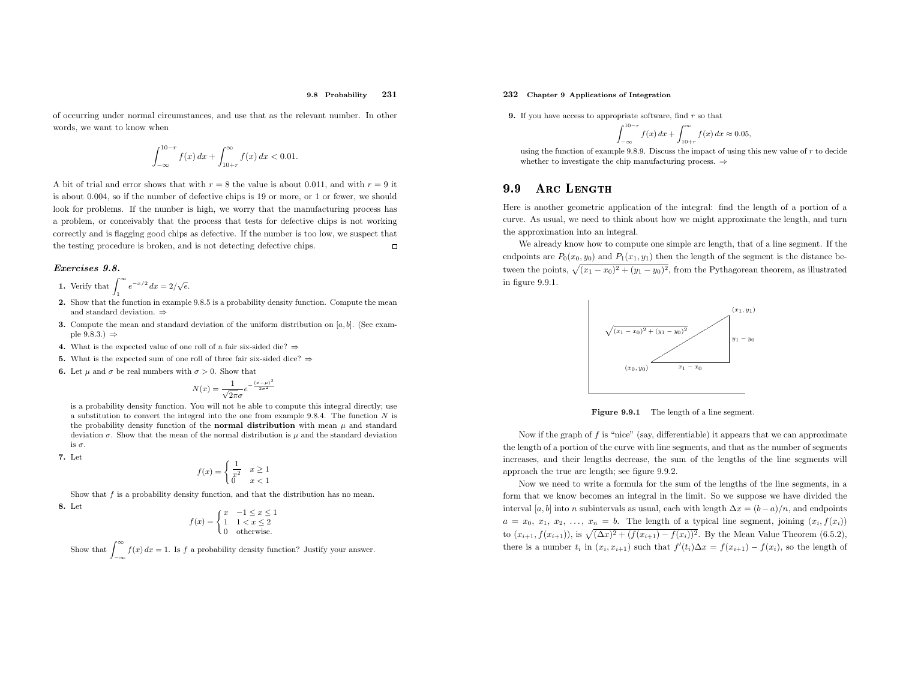of occurring under normal circumstances, and use that as the relevant number. In other words, we want to know when

$$
\int_{-\infty}^{10-r} f(x) \, dx + \int_{10+r}^{\infty} f(x) \, dx < 0.01.
$$

A bit of trial and error shows that with  $r = 8$  the value is about 0.011, and with  $r = 9$  it is about <sup>0</sup>.004, so if the number of defective chips is <sup>19</sup> or more, or <sup>1</sup> or fewer, we should look for problems. If the number is high, we worry that the manufacturing process has <sup>a</sup> problem, or conceivably that the process that tests for defective chips is not working correctly and is flagging good chips as defective. If the number is too low, we suspect that the testing procedure is broken, and is not detecting defective chips.  $\Box$ 

### Exercises 9.8.

- 1. Verify that  $\int_1^\infty e^{-x/2} dx = 2/\sqrt{e}$ . 1
- 2. Show that the function in example 9.8.5 is <sup>a</sup> probability density function. Compute the meanand standard deviation. ⇒
- **3.** Compute the mean and standard deviation of the uniform distribution on  $[a, b]$ . (See example 9.8.3.)  $\Rightarrow$
- 4. What is the expected value of one roll of a fair six-sided die? ⇒
- **5.** What is the expected sum of one roll of three fair six-sided dice?  $\Rightarrow$
- **6.** Let  $\mu$  and  $\sigma$  be real numbers with  $\sigma > 0$ . Show that

$$
N(x) = \frac{1}{\sqrt{2\pi}\sigma}e^{-\frac{(x-\mu)^2}{2\sigma^2}}
$$

 is <sup>a</sup> probability density function. You will not be able to compute this integral directly; use a substitution to convert the integral into the one from example 9.8.4. The function  $N$  is the probability density function of the **normal distribution** with mean  $\mu$  and standard deviation  $\sigma$ . Show that the mean of the normal distribution is  $\mu$  and the standard deviation is  $\sigma$ .

7. Let

$$
f(x) = \begin{cases} \frac{1}{x^2} & x \ge 1\\ 0 & x < 1 \end{cases}
$$

Show that  $f$  is a probability density function, and that the distribution has no mean.

8. Let

$$
f(x) = \begin{cases} x & -1 \le x \le 1 \\ 1 & 1 < x \le 2 \\ 0 & \text{otherwise.} \end{cases}
$$

Show that  $\int_{-\infty}^{\infty} f(x) dx = 1$ . Is f a probability density function? Justify your answer.

# 232 Chapter <sup>9</sup> Applications of Integration

**9.** If you have access to appropriate software, find  $r$  so that

$$
\int_{-\infty}^{10-r} f(x) \, dx + \int_{10+r}^{\infty} f(x) \, dx \approx 0.05,
$$

using the function of example 9.8.9. Discuss the impact of using this new value of  $r$  to decide whether to investigate the chip manufacturing process.  $\Rightarrow$ 

#### 9.99 ARC LENGTH

Here is another geometric application of the integral: find the length of <sup>a</sup> portion of <sup>a</sup> curve. As usual, we need to think about how we might approximate the length, and turnthe approximation into an integral.

We already know how to compute one simple arc length, that of <sup>a</sup> line segment. If the endpoints are  $P_0(x_0, y_0)$  and  $P_1(x_1, y_1)$  then the length of the segment is the distance between the points,  $\sqrt{(x_1 - x_0)^2 + (y_1 - y_0)^2}$ , from the Pythagorean theorem, as illustrated in figure 9.9.1.



Figure 9.9.1 The length of <sup>a</sup> line segment.

Now if the graph of f is "nice" (say, differentiable) it appears that we can approximate the length of <sup>a</sup> portion of the curve with line segments, and that as the number of segments increases, and their lengths decrease, the sum of the lengths of the line segments will approac<sup>h</sup> the true arc length; see figure 9.9.2.

Now we need to write <sup>a</sup> formula for the sum of the lengths of the line segments, in <sup>a</sup> form that we know becomes an integral in the limit. So we suppose we have divided the interval [a, b] into n subintervals as usual, each with length  $\Delta x = (b-a)/n$ , and endpoints  $a = x_0, x_1, x_2, \ldots, x_n = b$ . The length of a typical line segment, joining  $(x_i, f(x_i))$ to  $(x_{i+1}, f(x_{i+1}))$ , is  $\sqrt{(\Delta x)^2 + (f(x_{i+1}) - f(x_i))^2}$ . By the Mean Value Theorem (6.5.2), there is a number  $t_i$  in  $(x_i, x_{i+1})$  such that  $f'(t_i)\Delta x = f(x_{i+1}) - f(x_i)$ , so the length of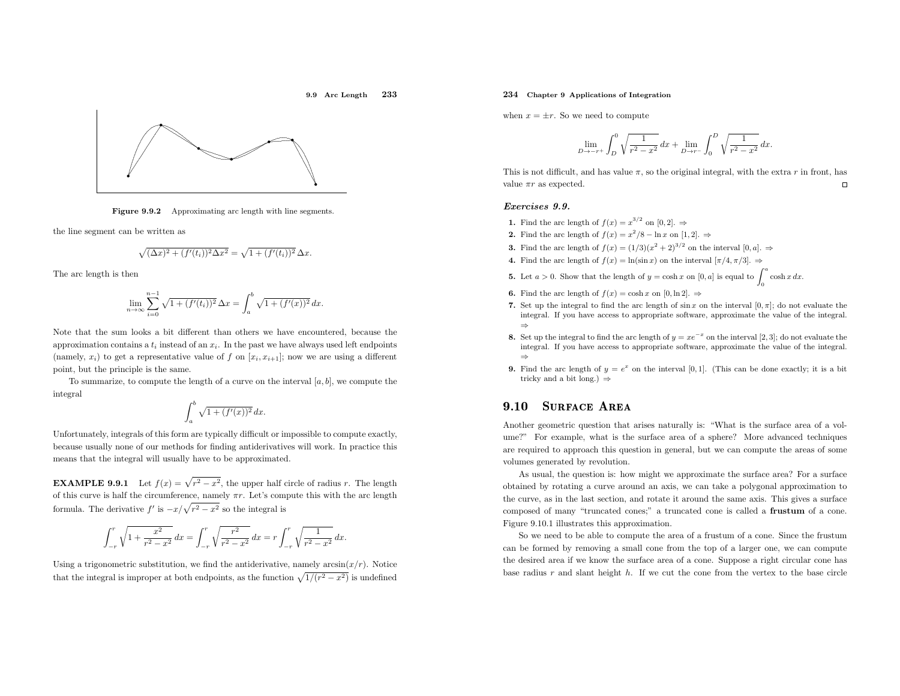



Figure 9.9.2 Approximating arc length with line segments.

the line segment can be written as

$$
\sqrt{(\Delta x)^2 + (f'(t_i))^2 \Delta x^2} = \sqrt{1 + (f'(t_i))^2} \,\Delta x.
$$

The arc length is then

$$
\lim_{n \to \infty} \sum_{i=0}^{n-1} \sqrt{1 + (f'(t_i))^2} \,\Delta x = \int_a^b \sqrt{1 + (f'(x))^2} \, dx.
$$

Note that the sum looks <sup>a</sup> bit different than others we have encountered, because the approximation contains a  $t_i$  instead of an  $x_i$ . In the past we have always used left endpoints (namely,  $x_i$ ) to get a representative value of f on  $[x_i, x_{i+1}]$ ; now we are using a different point, but the principle is the same.

To summarize, to compute the length of a curve on the interval  $[a, b]$ , we compute the integral

$$
\int_a^b \sqrt{1 + (f'(x))^2} \, dx.
$$

Unfortunately, integrals of this form are typically difficult or impossible to compute exactly, because usually none of our methods for finding antiderivatives will work. In practice this means that the integral will usually have to be approximated.

**EXAMPLE 9.9.1** Let  $f(x) = \sqrt{r^2 - x^2}$ , the upper half circle of radius r. The length of this curve is half the circumference, namely  $\pi r$ . Let's compute this with the arc length formula. The derivative  $f'$  is  $-x/\sqrt{r^2 - x^2}$  so the integral is

$$
\int_{-r}^{r} \sqrt{1 + \frac{x^2}{r^2 - x^2}} \, dx = \int_{-r}^{r} \sqrt{\frac{r^2}{r^2 - x^2}} \, dx = r \int_{-r}^{r} \sqrt{\frac{1}{r^2 - x^2}} \, dx.
$$

Using a trigonometric substitution, we find the antiderivative, namely  $arcsin(x/r)$ . Notice that the integral is improper at both endpoints, as the function  $\sqrt{1/(r^2 - x^2)}$  is undefined

# 234 Chapter <sup>9</sup> Applications of Integration

when  $x = \pm r$ . So we need to compute

$$
\lim_{D \to -r+} \int_{D}^{0} \sqrt{\frac{1}{r^2 - x^2}} \, dx + \lim_{D \to r-} \int_{0}^{D} \sqrt{\frac{1}{r^2 - x^2}} \, dx.
$$

This is not difficult, and has value  $\pi$ , so the original integral, with the extra r in front, has value  $\pi r$  as expected.  $\Box$ 

#### Exercises 9.9.

- 1. Find the arc length of  $f(x) = x^{3/2}$  on  $[0,2]$ .
- 2. Find the arc length of  $f(x) = x^2/8 \ln x$  on [1, 2].  $\Rightarrow$
- **3.** Find the arc length of  $f(x) = (1/3)(x^2 + 2)^{3/2}$  on the interval  $[0, a]$ .  $\Rightarrow$
- **4.** Find the arc length of  $f(x) = \ln(\sin x)$  on the interval  $[\pi/4, \pi/3]$ .
- **5.** Let  $a > 0$ . Show that the length of  $y = \cosh x$  on  $[0, a]$  is equal to  $\int_0^a \cosh x \, dx$ .
- **6.** Find the arc length of  $f(x) = \cosh x$  on  $[0, \ln 2]$ .  $\Rightarrow$
- 7. Set up the integral to find the arc length of  $\sin x$  on the interval  $[0, \pi]$ ; do not evaluate the integral. If you have access to appropriate software, approximate the value of the integral. ⇒
- 8. Set up the integral to find the arc length of  $y = xe^{-x}$  on the interval [2, 3]; do not evaluate the Set up the integral to find the arc length of  $y = xe$  on the interval [2, 3]; do not evaluate the integral. If you have access to appropriate software, approximate the value of the integral. ⇒
- **9.** Find the arc length of  $y = e^x$  on the interval [0, 1]. (This can be done exactly; it is a bit tricky and a bit long.)  $\Rightarrow$

#### 9.100 SURFACE AREA

Another geometric question that arises naturally is: "What is the surface area of <sup>a</sup> volume?" For example, what is the surface area of <sup>a</sup> sphere? More advanced techniques are required to approac<sup>h</sup> this question in general, but we can compute the areas of some volumes generated by revolution.

As usual, the question is: how might we approximate the surface area? For <sup>a</sup> surface obtained by rotating <sup>a</sup> curve around an axis, we can take <sup>a</sup> polygonal approximation to the curve, as in the last section, and rotate it around the same axis. This <sup>g</sup>ives <sup>a</sup> surface composed of many "truncated cones;" a truncated cone is called a **frustum** of a cone.<br>Eine 0.10.1.<sup>11</sup> identical is some installed Figure 9.10.1 illustrates this approximation.

So we need to be able to compute the area of <sup>a</sup> frustum of <sup>a</sup> cone. Since the frustum can be formed by removing <sup>a</sup> small cone from the top of <sup>a</sup> larger one, we can compute the desired area if we know the surface area of <sup>a</sup> cone. Suppose <sup>a</sup> right circular cone has base radius r and slant height h. If we cut the cone from the vertex to the base circle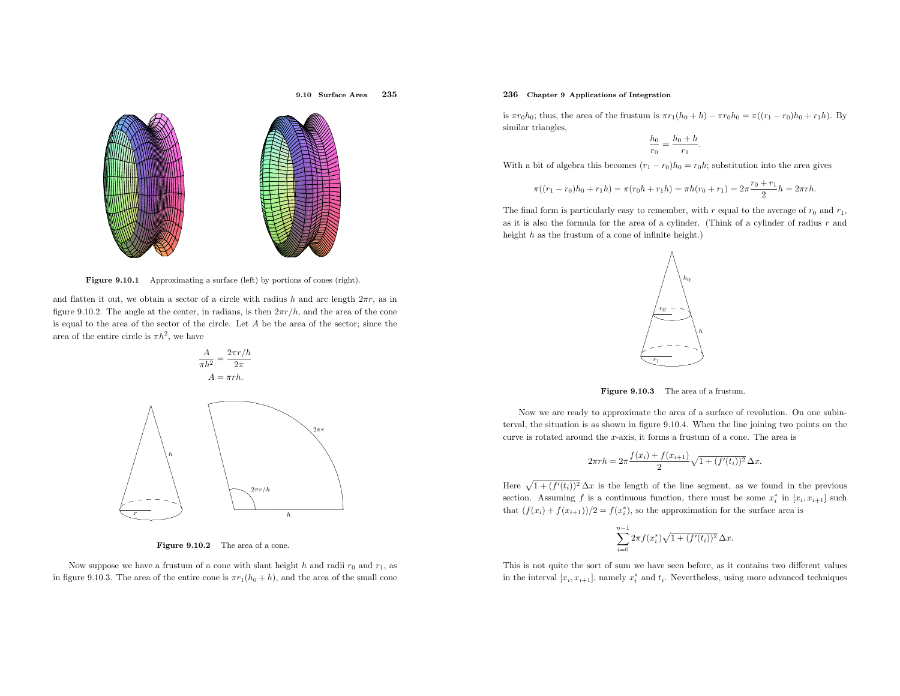

9.10 Surface Area

<sup>235</sup>

Figure 9.10.1 Approximating a surface (left) by portions of cones (right).

and flatten it out, we obtain a sector of a circle with radius h and arc length  $2\pi r$ , as in figure 9.10.2. The angle at the center, in radians, is then  $2\pi r/h$ , and the area of the cone is equal to the area of the sector of the circle. Let  $A$  be the area of the sector; since the area of the entire circle is  $\pi h^2$ , we have



Figure 9.10.2 The area of a cone.

Now suppose we have a frustum of a cone with slant height  $h$  and radii  $r_0$  and  $r_1$ , as in figure 9.10.3. The area of the entire cone is  $\pi r_1(h_0 + h)$ , and the area of the small cone

### 236 Chapter <sup>9</sup> Applications of Integration

is  $\pi r_0 h_0$ ; thus, the area of the frustum is  $\pi r_1(h_0 + h) - \pi r_0 h_0 = \pi ((r_1 - r_0)h_0 + r_1 h)$ . By similar triangles,

$$
\frac{h_0}{r_0} = \frac{h_0 + h}{r_1}.
$$

With a bit of algebra this becomes  $(r_1 - r_0)h_0 = r_0h$ ; substitution into the area gives

$$
\pi((r_1 - r_0)h_0 + r_1h) = \pi(r_0h + r_1h) = \pi h(r_0 + r_1) = 2\pi \frac{r_0 + r_1}{2}h = 2\pi rh.
$$

The final form is particularly easy to remember, with  $r$  equal to the average of  $r_0$  and  $r_1$ , as it is also the formula for the area of <sup>a</sup> cylinder. (Think of <sup>a</sup> cylinder of radius <sup>r</sup> andheight  $h$  as the frustum of a cone of infinite height.)



Figure 9.10.3 The area of <sup>a</sup> frustum.

Now we are ready to approximate the area of <sup>a</sup> surface of revolution. On one subinterval, the situation is as shown in figure 9.10.4. When the line joining two points on the curve is rotated around the <sup>x</sup>-axis, it forms <sup>a</sup> frustum of <sup>a</sup> cone. The area is

$$
2\pi rh = 2\pi \frac{f(x_i) + f(x_{i+1})}{2} \sqrt{1 + (f'(t_i))^2} \,\Delta x.
$$

Here  $\sqrt{1 + (f'(t_i))^2} \Delta x$  is the length of the line segment, as we found in the previous section. Assuming f is a continuous function, there must be some  $x_i^*$  in  $[x_i, x_{i+1}]$  such that  $(f(x_i) + f(x_{i+1}))/2 = f(x_i^*)$ , so the approximation for the surface area is

$$
\sum_{i=0}^{n-1} 2\pi f(x_i^*) \sqrt{1 + (f'(t_i))^2} \,\Delta x.
$$

This is not quite the sort of sum we have seen before, as it contains two different values in the interval  $[x_i, x_{i+1}]$ , namely  $x_i^*$  and  $t_i$ . Nevertheless, using more advanced techniques